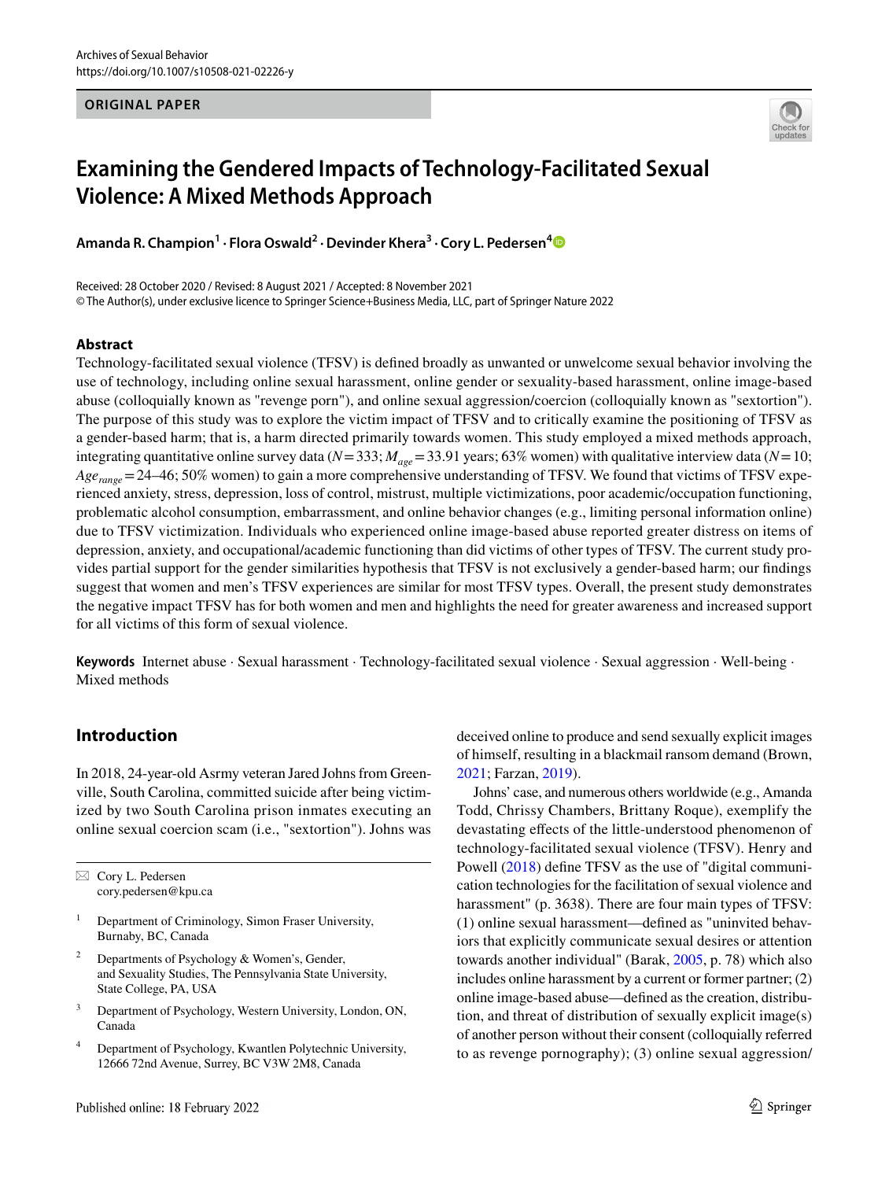#### **ORIGINAL PAPER**



# **Examining the Gendered Impacts of Technology‑Facilitated Sexual Violence: A Mixed Methods Approach**

**Amanda R. Champion1 · Flora Oswald2 · Devinder Khera<sup>3</sup> · Cory L. Pedersen[4](http://orcid.org/0000-0002-9769-3207)**

Received: 28 October 2020 / Revised: 8 August 2021 / Accepted: 8 November 2021 © The Author(s), under exclusive licence to Springer Science+Business Media, LLC, part of Springer Nature 2022

#### **Abstract**

Technology-facilitated sexual violence (TFSV) is defned broadly as unwanted or unwelcome sexual behavior involving the use of technology, including online sexual harassment, online gender or sexuality-based harassment, online image-based abuse (colloquially known as "revenge porn"), and online sexual aggression/coercion (colloquially known as "sextortion"). The purpose of this study was to explore the victim impact of TFSV and to critically examine the positioning of TFSV as a gender-based harm; that is, a harm directed primarily towards women. This study employed a mixed methods approach, integrating quantitative online survey data ( $N = 333$ ;  $M_{age} = 33.91$  years; 63% women) with qualitative interview data ( $N = 10$ ; *Age<sub>range</sub>*=24–46; 50% women) to gain a more comprehensive understanding of TFSV. We found that victims of TFSV experienced anxiety, stress, depression, loss of control, mistrust, multiple victimizations, poor academic/occupation functioning, problematic alcohol consumption, embarrassment, and online behavior changes (e.g., limiting personal information online) due to TFSV victimization. Individuals who experienced online image-based abuse reported greater distress on items of depression, anxiety, and occupational/academic functioning than did victims of other types of TFSV. The current study provides partial support for the gender similarities hypothesis that TFSV is not exclusively a gender-based harm; our fndings suggest that women and men's TFSV experiences are similar for most TFSV types. Overall, the present study demonstrates the negative impact TFSV has for both women and men and highlights the need for greater awareness and increased support for all victims of this form of sexual violence.

**Keywords** Internet abuse · Sexual harassment · Technology-facilitated sexual violence · Sexual aggression · Well-being · Mixed methods

## **Introduction**

In 2018, 24-year-old Asrmy veteran Jared Johns from Greenville, South Carolina, committed suicide after being victimized by two South Carolina prison inmates executing an online sexual coercion scam (i.e., "sextortion"). Johns was

 $\boxtimes$  Cory L. Pedersen cory.pedersen@kpu.ca

- <sup>1</sup> Department of Criminology, Simon Fraser University, Burnaby, BC, Canada
- <sup>2</sup> Departments of Psychology & Women's, Gender, and Sexuality Studies, The Pennsylvania State University, State College, PA, USA
- <sup>3</sup> Department of Psychology, Western University, London, ON, Canada
- Department of Psychology, Kwantlen Polytechnic University, 12666 72nd Avenue, Surrey, BC V3W 2M8, Canada

deceived online to produce and send sexually explicit images of himself, resulting in a blackmail ransom demand (Brown, [2021](#page-15-0); Farzan, [2019\)](#page-16-0).

Johns' case, and numerous others worldwide (e.g., Amanda Todd, Chrissy Chambers, Brittany Roque), exemplify the devastating effects of the little-understood phenomenon of technology-facilitated sexual violence (TFSV). Henry and Powell [\(2018](#page-16-1)) defne TFSV as the use of "digital communication technologies for the facilitation of sexual violence and harassment" (p. 3638). There are four main types of TFSV: (1) online sexual harassment—defned as "uninvited behaviors that explicitly communicate sexual desires or attention towards another individual" (Barak, [2005](#page-15-1), p. 78) which also includes online harassment by a current or former partner; (2) online image-based abuse—defned as the creation, distribution, and threat of distribution of sexually explicit image(s) of another person without their consent (colloquially referred to as revenge pornography); (3) online sexual aggression/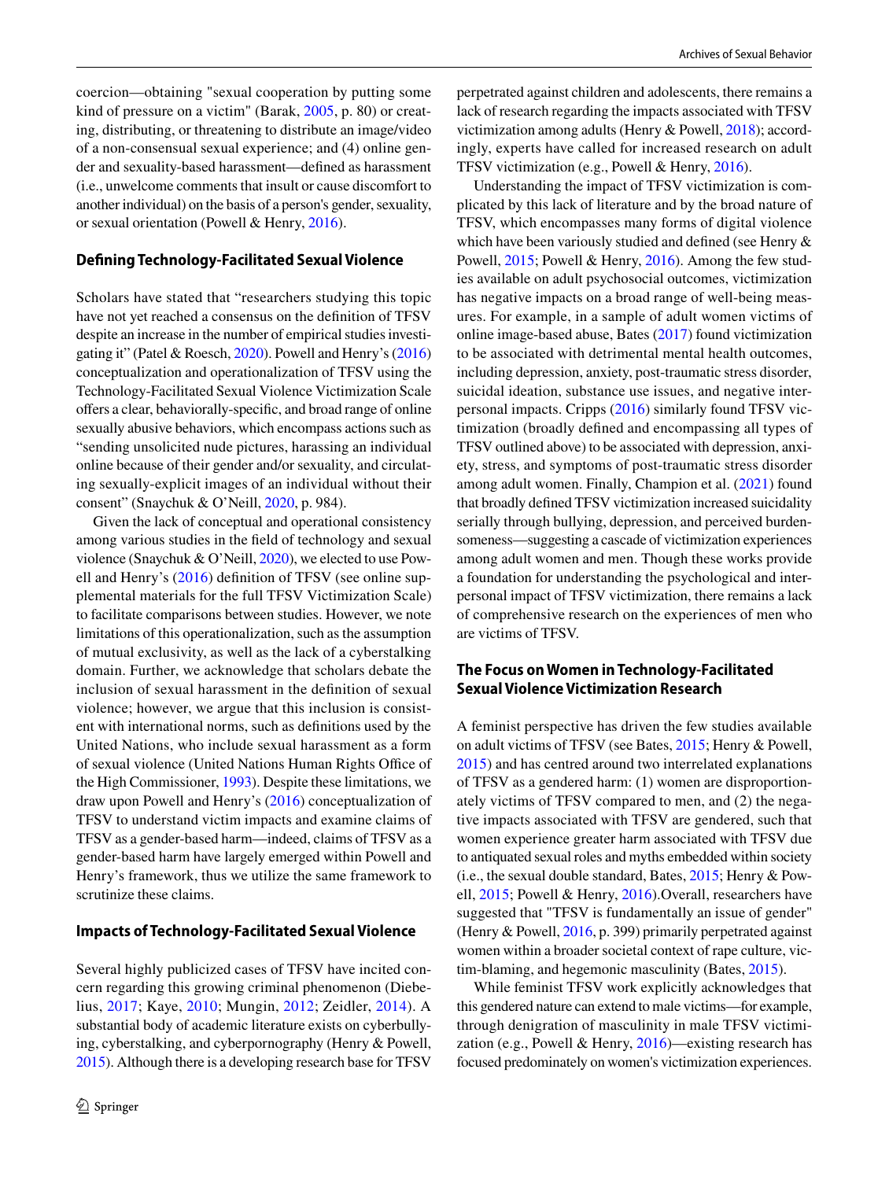coercion—obtaining "sexual cooperation by putting some kind of pressure on a victim" (Barak, [2005,](#page-15-1) p. 80) or creating, distributing, or threatening to distribute an image/video of a non-consensual sexual experience; and (4) online gender and sexuality-based harassment—defned as harassment (i.e., unwelcome comments that insult or cause discomfort to another individual) on the basis of a person's gender, sexuality, or sexual orientation (Powell & Henry, [2016\)](#page-16-2).

### **Defning Technology‑Facilitated Sexual Violence**

Scholars have stated that "researchers studying this topic have not yet reached a consensus on the defnition of TFSV despite an increase in the number of empirical studies investigating it" (Patel & Roesch, [2020\)](#page-16-3). Powell and Henry's ([2016\)](#page-16-2) conceptualization and operationalization of TFSV using the Technology-Facilitated Sexual Violence Victimization Scale offers a clear, behaviorally-specific, and broad range of online sexually abusive behaviors, which encompass actions such as "sending unsolicited nude pictures, harassing an individual online because of their gender and/or sexuality, and circulating sexually-explicit images of an individual without their consent" (Snaychuk & O'Neill, [2020](#page-17-0), p. 984).

Given the lack of conceptual and operational consistency among various studies in the feld of technology and sexual violence (Snaychuk & O'Neill, [2020\)](#page-17-0), we elected to use Powell and Henry's [\(2016\)](#page-16-2) defnition of TFSV (see online supplemental materials for the full TFSV Victimization Scale) to facilitate comparisons between studies. However, we note limitations of this operationalization, such as the assumption of mutual exclusivity, as well as the lack of a cyberstalking domain. Further, we acknowledge that scholars debate the inclusion of sexual harassment in the defnition of sexual violence; however, we argue that this inclusion is consistent with international norms, such as defnitions used by the United Nations, who include sexual harassment as a form of sexual violence (United Nations Human Rights Office of the High Commissioner, [1993\)](#page-17-1). Despite these limitations, we draw upon Powell and Henry's ([2016](#page-16-2)) conceptualization of TFSV to understand victim impacts and examine claims of TFSV as a gender-based harm—indeed, claims of TFSV as a gender-based harm have largely emerged within Powell and Henry's framework, thus we utilize the same framework to scrutinize these claims.

#### **Impacts of Technology‑Facilitated Sexual Violence**

Several highly publicized cases of TFSV have incited concern regarding this growing criminal phenomenon (Diebelius, [2017;](#page-16-4) Kaye, [2010;](#page-16-5) Mungin, [2012;](#page-16-6) Zeidler, [2014\)](#page-17-2). A substantial body of academic literature exists on cyberbullying, cyberstalking, and cyberpornography (Henry & Powell, [2015\)](#page-16-7). Although there is a developing research base for TFSV

perpetrated against children and adolescents, there remains a lack of research regarding the impacts associated with TFSV victimization among adults (Henry & Powell, [2018](#page-16-1)); accordingly, experts have called for increased research on adult TFSV victimization (e.g., Powell & Henry, [2016](#page-16-2)).

Understanding the impact of TFSV victimization is complicated by this lack of literature and by the broad nature of TFSV, which encompasses many forms of digital violence which have been variously studied and defned (see Henry & Powell, [2015](#page-16-7); Powell & Henry, [2016](#page-16-2)). Among the few studies available on adult psychosocial outcomes, victimization has negative impacts on a broad range of well-being measures. For example, in a sample of adult women victims of online image-based abuse, Bates ([2017\)](#page-15-2) found victimization to be associated with detrimental mental health outcomes, including depression, anxiety, post-traumatic stress disorder, suicidal ideation, substance use issues, and negative interpersonal impacts. Cripps [\(2016](#page-16-8)) similarly found TFSV victimization (broadly defned and encompassing all types of TFSV outlined above) to be associated with depression, anxiety, stress, and symptoms of post-traumatic stress disorder among adult women. Finally, Champion et al. [\(2021](#page-16-9)) found that broadly defned TFSV victimization increased suicidality serially through bullying, depression, and perceived burdensomeness—suggesting a cascade of victimization experiences among adult women and men. Though these works provide a foundation for understanding the psychological and interpersonal impact of TFSV victimization, there remains a lack of comprehensive research on the experiences of men who are victims of TFSV.

#### **The Focus on Women in Technology‑Facilitated Sexual Violence Victimization Research**

A feminist perspective has driven the few studies available on adult victims of TFSV (see Bates, [2015;](#page-15-3) Henry & Powell, [2015](#page-16-7)) and has centred around two interrelated explanations of TFSV as a gendered harm: (1) women are disproportionately victims of TFSV compared to men, and (2) the negative impacts associated with TFSV are gendered, such that women experience greater harm associated with TFSV due to antiquated sexual roles and myths embedded within society (i.e., the sexual double standard, Bates, [2015](#page-15-3); Henry & Powell, [2015](#page-16-7); Powell & Henry, [2016\)](#page-16-2).Overall, researchers have suggested that "TFSV is fundamentally an issue of gender" (Henry & Powell, [2016](#page-16-10), p. 399) primarily perpetrated against women within a broader societal context of rape culture, victim-blaming, and hegemonic masculinity (Bates, [2015\)](#page-15-3).

While feminist TFSV work explicitly acknowledges that this gendered nature can extend to male victims—for example, through denigration of masculinity in male TFSV victimization (e.g., Powell & Henry, [2016\)](#page-16-2)—existing research has focused predominately on women's victimization experiences.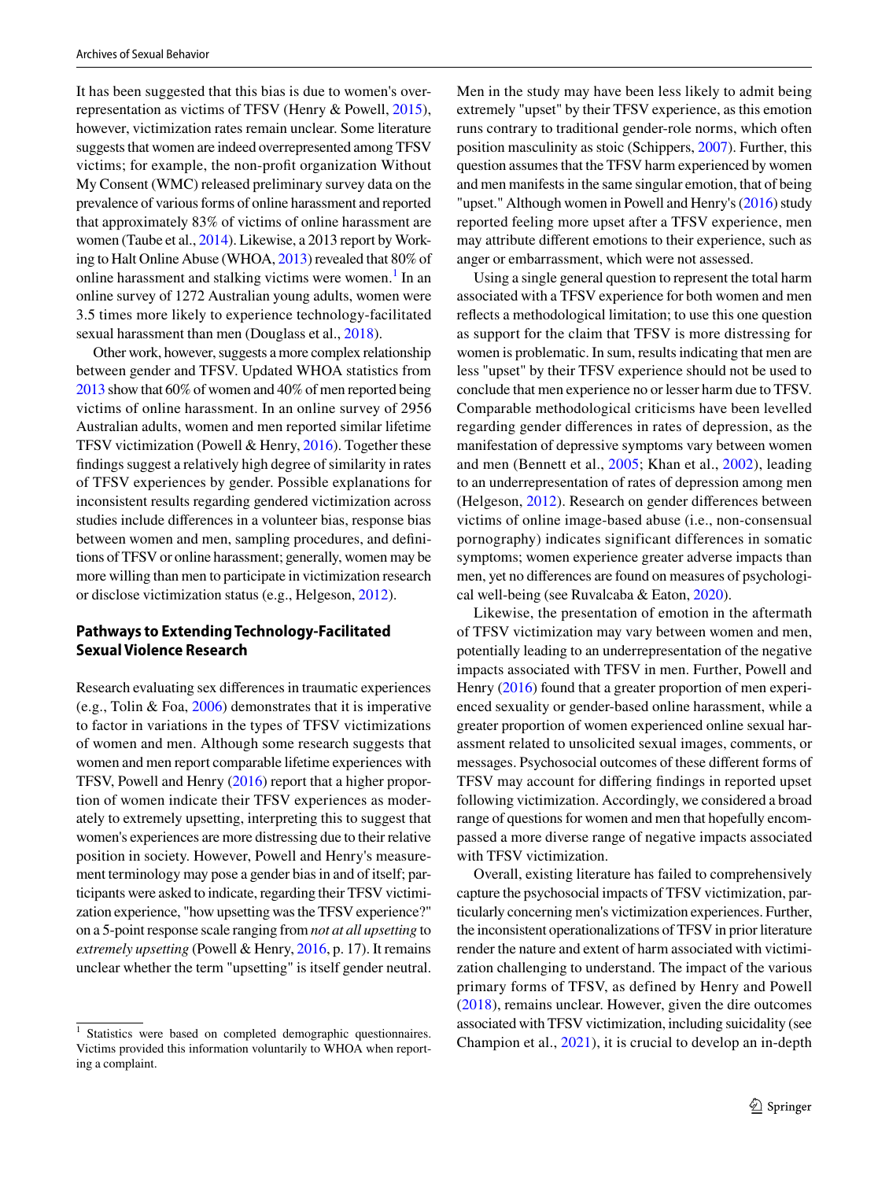It has been suggested that this bias is due to women's overrepresentation as victims of TFSV (Henry & Powell, [2015](#page-16-7)), however, victimization rates remain unclear. Some literature suggests that women are indeed overrepresented among TFSV victims; for example, the non-proft organization Without My Consent (WMC) released preliminary survey data on the prevalence of various forms of online harassment and reported that approximately 83% of victims of online harassment are women (Taube et al., [2014\)](#page-17-3). Likewise, a 2013 report by Working to Halt Online Abuse (WHOA, [2013](#page-17-4)) revealed that 80% of online harassment and stalking victims were women.<sup>[1](#page-2-0)</sup> In an online survey of 1272 Australian young adults, women were 3.5 times more likely to experience technology-facilitated sexual harassment than men (Douglass et al., [2018\)](#page-16-11).

Other work, however, suggests a more complex relationship between gender and TFSV. Updated WHOA statistics from [2013](#page-17-4) show that 60% of women and 40% of men reported being victims of online harassment. In an online survey of 2956 Australian adults, women and men reported similar lifetime TFSV victimization (Powell & Henry, [2016](#page-16-2)). Together these fndings suggest a relatively high degree of similarity in rates of TFSV experiences by gender. Possible explanations for inconsistent results regarding gendered victimization across studies include diferences in a volunteer bias, response bias between women and men, sampling procedures, and defnitions of TFSV or online harassment; generally, women may be more willing than men to participate in victimization research or disclose victimization status (e.g., Helgeson, [2012](#page-16-12)).

### **Pathways to Extending Technology‑Facilitated Sexual Violence Research**

Research evaluating sex diferences in traumatic experiences (e.g., Tolin & Foa,  $2006$ ) demonstrates that it is imperative to factor in variations in the types of TFSV victimizations of women and men. Although some research suggests that women and men report comparable lifetime experiences with TFSV, Powell and Henry ([2016\)](#page-16-2) report that a higher proportion of women indicate their TFSV experiences as moderately to extremely upsetting, interpreting this to suggest that women's experiences are more distressing due to their relative position in society. However, Powell and Henry's measurement terminology may pose a gender bias in and of itself; participants were asked to indicate, regarding their TFSV victimization experience, "how upsetting was the TFSV experience?" on a 5-point response scale ranging from *not at all upsetting* to *extremely upsetting* (Powell & Henry, [2016,](#page-16-2) p. 17). It remains unclear whether the term "upsetting" is itself gender neutral.

Men in the study may have been less likely to admit being extremely "upset" by their TFSV experience, as this emotion runs contrary to traditional gender-role norms, which often position masculinity as stoic (Schippers, [2007\)](#page-17-6). Further, this question assumes that the TFSV harm experienced by women and men manifests in the same singular emotion, that of being "upset." Although women in Powell and Henry's [\(2016](#page-16-2)) study reported feeling more upset after a TFSV experience, men may attribute diferent emotions to their experience, such as anger or embarrassment, which were not assessed.

Using a single general question to represent the total harm associated with a TFSV experience for both women and men refects a methodological limitation; to use this one question as support for the claim that TFSV is more distressing for women is problematic. In sum, results indicating that men are less "upset" by their TFSV experience should not be used to conclude that men experience no or lesser harm due to TFSV. Comparable methodological criticisms have been levelled regarding gender diferences in rates of depression, as the manifestation of depressive symptoms vary between women and men (Bennett et al., [2005](#page-15-4); Khan et al., [2002](#page-16-13)), leading to an underrepresentation of rates of depression among men (Helgeson, [2012](#page-16-12)). Research on gender diferences between victims of online image-based abuse (i.e., non-consensual pornography) indicates significant differences in somatic symptoms; women experience greater adverse impacts than men, yet no diferences are found on measures of psychological well-being (see Ruvalcaba & Eaton, [2020\)](#page-16-14).

Likewise, the presentation of emotion in the aftermath of TFSV victimization may vary between women and men, potentially leading to an underrepresentation of the negative impacts associated with TFSV in men. Further, Powell and Henry ([2016\)](#page-16-2) found that a greater proportion of men experienced sexuality or gender-based online harassment, while a greater proportion of women experienced online sexual harassment related to unsolicited sexual images, comments, or messages. Psychosocial outcomes of these diferent forms of TFSV may account for difering fndings in reported upset following victimization. Accordingly, we considered a broad range of questions for women and men that hopefully encompassed a more diverse range of negative impacts associated with TFSV victimization.

Overall, existing literature has failed to comprehensively capture the psychosocial impacts of TFSV victimization, particularly concerning men's victimization experiences. Further, the inconsistent operationalizations of TFSV in prior literature render the nature and extent of harm associated with victimization challenging to understand. The impact of the various primary forms of TFSV, as defined by Henry and Powell ([2018\)](#page-16-1), remains unclear. However, given the dire outcomes associated with TFSV victimization, including suicidality (see Statistics were based on completed demographic questionnaires.<br>
Champion et al., [2021](#page-16-9)), it is crucial to develop an in-depth intervalsed this information voluntarily to WHOA when report

<span id="page-2-0"></span>Victims provided this information voluntarily to WHOA when reporting a complaint.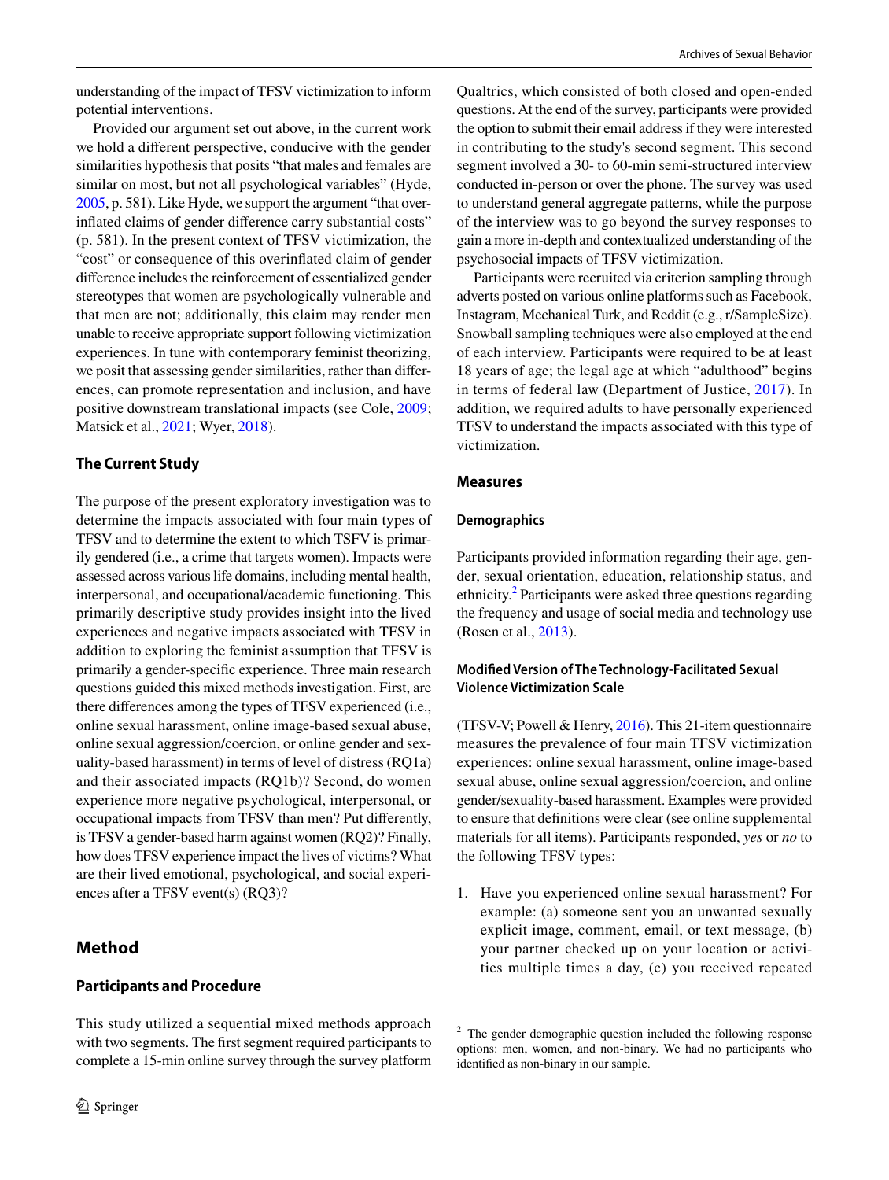understanding of the impact of TFSV victimization to inform potential interventions.

Provided our argument set out above, in the current work we hold a diferent perspective, conducive with the gender similarities hypothesis that posits "that males and females are similar on most, but not all psychological variables" (Hyde, [2005,](#page-16-15) p. 581). Like Hyde, we support the argument "that overinfated claims of gender diference carry substantial costs" (p. 581). In the present context of TFSV victimization, the "cost" or consequence of this overinfated claim of gender diference includes the reinforcement of essentialized gender stereotypes that women are psychologically vulnerable and that men are not; additionally, this claim may render men unable to receive appropriate support following victimization experiences. In tune with contemporary feminist theorizing, we posit that assessing gender similarities, rather than diferences, can promote representation and inclusion, and have positive downstream translational impacts (see Cole, [2009](#page-16-16); Matsick et al., [2021;](#page-16-17) Wyer, [2018\)](#page-17-7).

### **The Current Study**

The purpose of the present exploratory investigation was to determine the impacts associated with four main types of TFSV and to determine the extent to which TSFV is primarily gendered (i.e., a crime that targets women). Impacts were assessed across various life domains, including mental health, interpersonal, and occupational/academic functioning. This primarily descriptive study provides insight into the lived experiences and negative impacts associated with TFSV in addition to exploring the feminist assumption that TFSV is primarily a gender-specifc experience. Three main research questions guided this mixed methods investigation. First, are there diferences among the types of TFSV experienced (i.e., online sexual harassment, online image-based sexual abuse, online sexual aggression/coercion, or online gender and sexuality-based harassment) in terms of level of distress (RQ1a) and their associated impacts (RQ1b)? Second, do women experience more negative psychological, interpersonal, or occupational impacts from TFSV than men? Put diferently, is TFSV a gender-based harm against women (RQ2)? Finally, how does TFSV experience impact the lives of victims? What are their lived emotional, psychological, and social experiences after a TFSV event(s) (RQ3)?

## **Method**

### **Participants and Procedure**

This study utilized a sequential mixed methods approach with two segments. The frst segment required participants to complete a 15-min online survey through the survey platform Qualtrics, which consisted of both closed and open-ended questions. At the end of the survey, participants were provided the option to submit their email address if they were interested in contributing to the study's second segment. This second segment involved a 30- to 60-min semi-structured interview conducted in-person or over the phone. The survey was used to understand general aggregate patterns, while the purpose of the interview was to go beyond the survey responses to gain a more in-depth and contextualized understanding of the psychosocial impacts of TFSV victimization.

Participants were recruited via criterion sampling through adverts posted on various online platforms such as Facebook, Instagram, Mechanical Turk, and Reddit (e.g., r/SampleSize). Snowball sampling techniques were also employed at the end of each interview. Participants were required to be at least 18 years of age; the legal age at which "adulthood" begins in terms of federal law (Department of Justice, [2017\)](#page-16-18). In addition, we required adults to have personally experienced TFSV to understand the impacts associated with this type of victimization.

### **Measures**

#### **Demographics**

Participants provided information regarding their age, gender, sexual orientation, education, relationship status, and ethnicity.<sup>[2](#page-3-0)</sup> Participants were asked three questions regarding the frequency and usage of social media and technology use (Rosen et al., [2013\)](#page-16-19).

### **Modifed Version of The Technology‑Facilitated Sexual Violence Victimization Scale**

(TFSV-V; Powell & Henry, [2016](#page-16-2)). This 21-item questionnaire measures the prevalence of four main TFSV victimization experiences: online sexual harassment, online image-based sexual abuse, online sexual aggression/coercion, and online gender/sexuality-based harassment. Examples were provided to ensure that defnitions were clear (see online supplemental materials for all items). Participants responded, *yes* or *no* to the following TFSV types:

1. Have you experienced online sexual harassment? For example: (a) someone sent you an unwanted sexually explicit image, comment, email, or text message, (b) your partner checked up on your location or activities multiple times a day, (c) you received repeated

<span id="page-3-0"></span><sup>2</sup> The gender demographic question included the following response options: men, women, and non-binary. We had no participants who identifed as non-binary in our sample.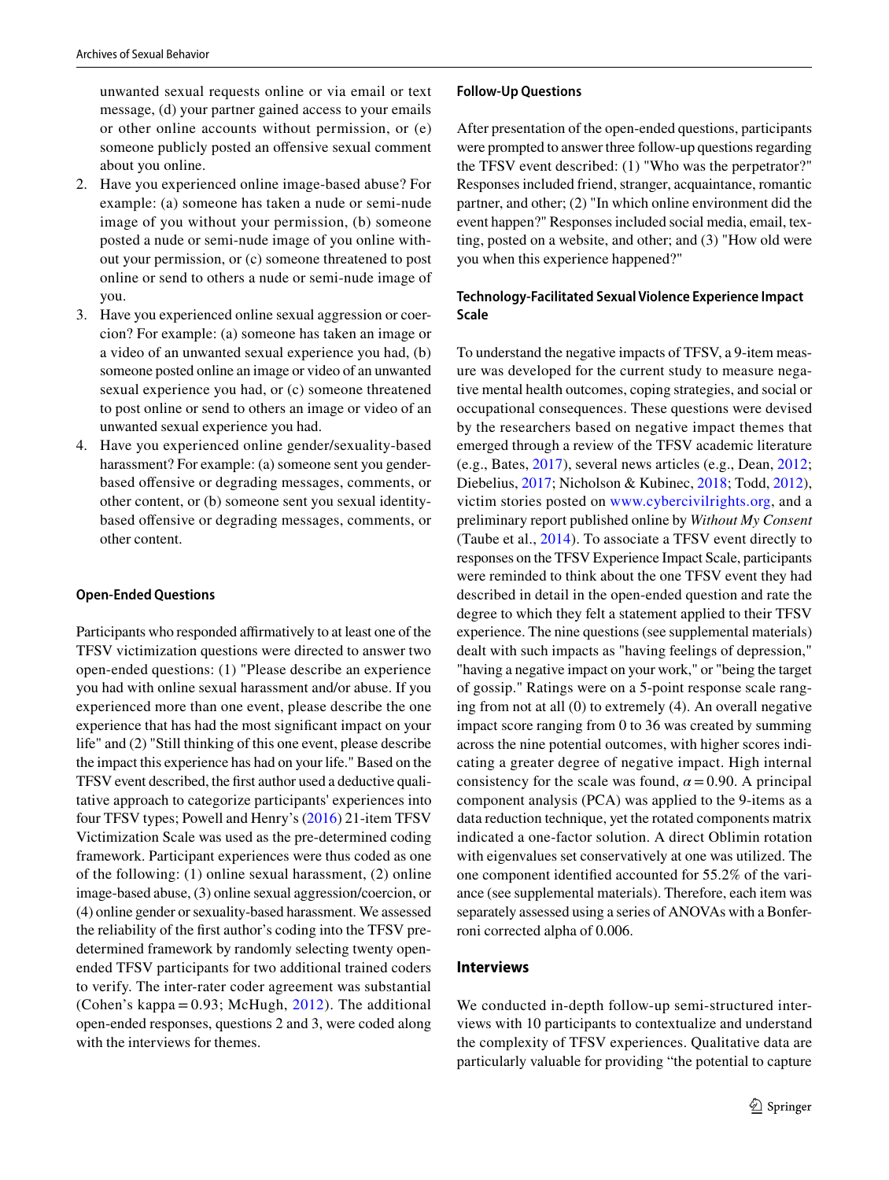unwanted sexual requests online or via email or text message, (d) your partner gained access to your emails or other online accounts without permission, or (e) someone publicly posted an offensive sexual comment about you online.

- 2. Have you experienced online image-based abuse? For example: (a) someone has taken a nude or semi-nude image of you without your permission, (b) someone posted a nude or semi-nude image of you online without your permission, or (c) someone threatened to post online or send to others a nude or semi-nude image of you.
- 3. Have you experienced online sexual aggression or coercion? For example: (a) someone has taken an image or a video of an unwanted sexual experience you had, (b) someone posted online an image or video of an unwanted sexual experience you had, or (c) someone threatened to post online or send to others an image or video of an unwanted sexual experience you had.
- 4. Have you experienced online gender/sexuality-based harassment? For example: (a) someone sent you genderbased ofensive or degrading messages, comments, or other content, or (b) someone sent you sexual identitybased ofensive or degrading messages, comments, or other content.

### **Open‑Ended Questions**

Participants who responded affirmatively to at least one of the TFSV victimization questions were directed to answer two open-ended questions: (1) "Please describe an experience you had with online sexual harassment and/or abuse. If you experienced more than one event, please describe the one experience that has had the most signifcant impact on your life" and (2) "Still thinking of this one event, please describe the impact this experience has had on your life." Based on the TFSV event described, the frst author used a deductive qualitative approach to categorize participants' experiences into four TFSV types; Powell and Henry's ([2016\)](#page-16-2) 21-item TFSV Victimization Scale was used as the pre-determined coding framework. Participant experiences were thus coded as one of the following: (1) online sexual harassment, (2) online image-based abuse, (3) online sexual aggression/coercion, or (4) online gender or sexuality-based harassment. We assessed the reliability of the frst author's coding into the TFSV predetermined framework by randomly selecting twenty openended TFSV participants for two additional trained coders to verify. The inter-rater coder agreement was substantial (Cohen's kappa = 0.93; McHugh, [2012](#page-16-20)). The additional open-ended responses, questions 2 and 3, were coded along with the interviews for themes.

#### **Follow‑Up Questions**

After presentation of the open-ended questions, participants were prompted to answer three follow-up questions regarding the TFSV event described: (1) "Who was the perpetrator?" Responses included friend, stranger, acquaintance, romantic partner, and other; (2) "In which online environment did the event happen?" Responses included social media, email, texting, posted on a website, and other; and (3) "How old were you when this experience happened?"

### **Technology‑Facilitated Sexual Violence Experience Impact Scale**

To understand the negative impacts of TFSV, a 9-item measure was developed for the current study to measure negative mental health outcomes, coping strategies, and social or occupational consequences. These questions were devised by the researchers based on negative impact themes that emerged through a review of the TFSV academic literature (e.g., Bates, [2017](#page-15-2)), several news articles (e.g., Dean, [2012](#page-16-21); Diebelius, [2017;](#page-16-4) Nicholson & Kubinec, [2018](#page-16-22); Todd, [2012](#page-17-8)), victim stories posted on [www.cybercivilrights.org,](http://www.cybercivilrights.org) and a preliminary report published online by *Without My Consent* (Taube et al., [2014\)](#page-17-3). To associate a TFSV event directly to responses on the TFSV Experience Impact Scale, participants were reminded to think about the one TFSV event they had described in detail in the open-ended question and rate the degree to which they felt a statement applied to their TFSV experience. The nine questions (see supplemental materials) dealt with such impacts as "having feelings of depression," "having a negative impact on your work," or "being the target of gossip." Ratings were on a 5-point response scale ranging from not at all (0) to extremely (4). An overall negative impact score ranging from 0 to 36 was created by summing across the nine potential outcomes, with higher scores indicating a greater degree of negative impact. High internal consistency for the scale was found,  $\alpha = 0.90$ . A principal component analysis (PCA) was applied to the 9-items as a data reduction technique, yet the rotated components matrix indicated a one-factor solution. A direct Oblimin rotation with eigenvalues set conservatively at one was utilized. The one component identifed accounted for 55.2% of the variance (see supplemental materials). Therefore, each item was separately assessed using a series of ANOVAs with a Bonferroni corrected alpha of 0.006.

#### **Interviews**

We conducted in-depth follow-up semi-structured interviews with 10 participants to contextualize and understand the complexity of TFSV experiences. Qualitative data are particularly valuable for providing "the potential to capture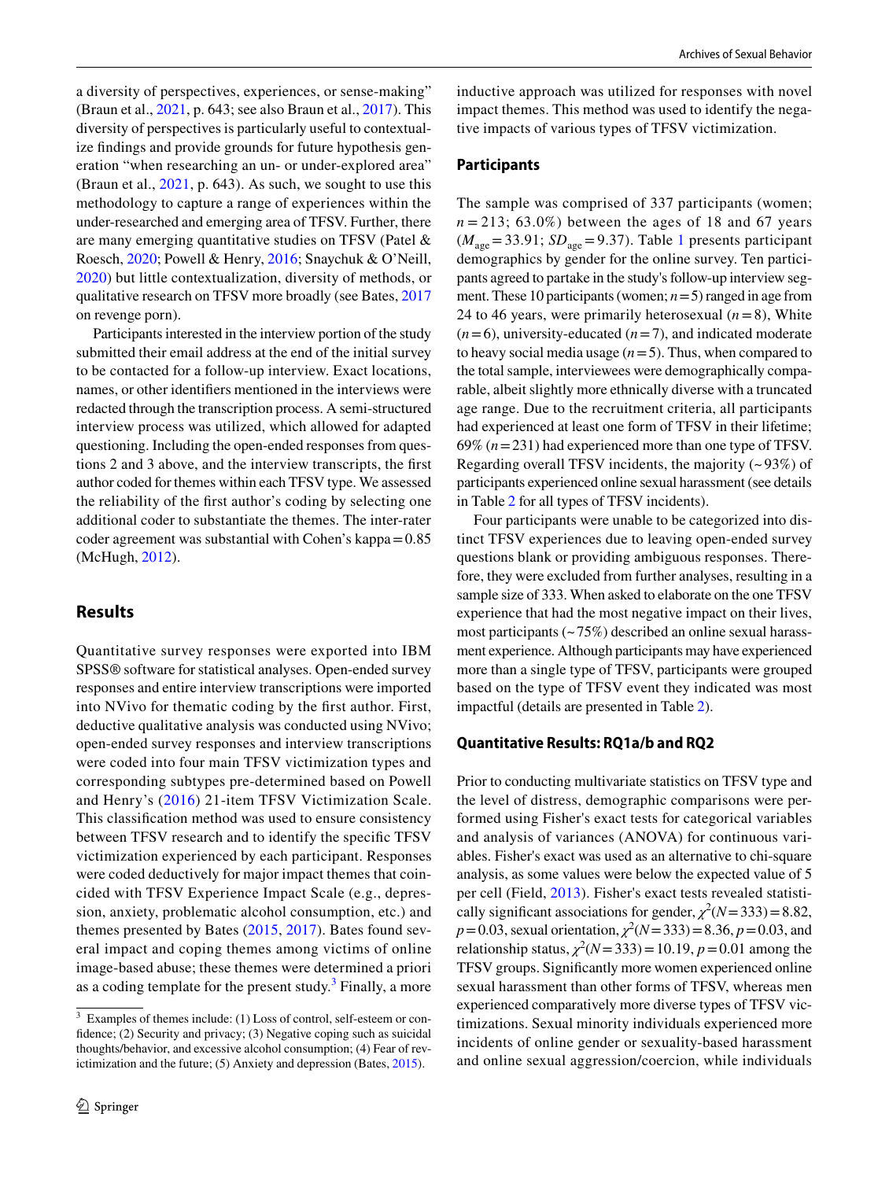a diversity of perspectives, experiences, or sense-making" (Braun et al., [2021](#page-15-5), p. 643; see also Braun et al., [2017](#page-15-6)). This diversity of perspectives is particularly useful to contextualize fndings and provide grounds for future hypothesis generation "when researching an un- or under-explored area" (Braun et al., [2021](#page-15-5), p. 643). As such, we sought to use this methodology to capture a range of experiences within the under-researched and emerging area of TFSV. Further, there are many emerging quantitative studies on TFSV (Patel & Roesch, [2020](#page-16-3); Powell & Henry, [2016;](#page-16-2) Snaychuk & O'Neill, [2020\)](#page-17-0) but little contextualization, diversity of methods, or qualitative research on TFSV more broadly (see Bates, [2017](#page-15-2) on revenge porn).

Participants interested in the interview portion of the study submitted their email address at the end of the initial survey to be contacted for a follow-up interview. Exact locations, names, or other identifers mentioned in the interviews were redacted through the transcription process. A semi-structured interview process was utilized, which allowed for adapted questioning. Including the open-ended responses from questions 2 and 3 above, and the interview transcripts, the frst author coded for themes within each TFSV type. We assessed the reliability of the frst author's coding by selecting one additional coder to substantiate the themes. The inter-rater coder agreement was substantial with Cohen's kappa=0.85 (McHugh, [2012](#page-16-20)).

### **Results**

Quantitative survey responses were exported into IBM SPSS® software for statistical analyses. Open-ended survey responses and entire interview transcriptions were imported into NVivo for thematic coding by the frst author. First, deductive qualitative analysis was conducted using NVivo; open-ended survey responses and interview transcriptions were coded into four main TFSV victimization types and corresponding subtypes pre-determined based on Powell and Henry's ([2016\)](#page-16-2) 21-item TFSV Victimization Scale. This classifcation method was used to ensure consistency between TFSV research and to identify the specifc TFSV victimization experienced by each participant. Responses were coded deductively for major impact themes that coincided with TFSV Experience Impact Scale (e.g., depression, anxiety, problematic alcohol consumption, etc.) and themes presented by Bates ([2015,](#page-15-3) [2017](#page-15-2)). Bates found several impact and coping themes among victims of online image-based abuse; these themes were determined a priori as a coding template for the present study.<sup>[3](#page-5-0)</sup> Finally, a more inductive approach was utilized for responses with novel impact themes. This method was used to identify the negative impacts of various types of TFSV victimization.

### **Participants**

The sample was comprised of 337 participants (women;  $n = 213$ ; 63.0%) between the ages of 18 and 67 years  $(M<sub>age</sub> = 33.91; SD<sub>age</sub> = 9.37)$  $(M<sub>age</sub> = 33.91; SD<sub>age</sub> = 9.37)$  $(M<sub>age</sub> = 33.91; SD<sub>age</sub> = 9.37)$ . Table 1 presents participant demographics by gender for the online survey. Ten participants agreed to partake in the study's follow-up interview segment. These 10 participants (women; *n*=5) ranged in age from 24 to 46 years, were primarily heterosexual  $(n=8)$ , White  $(n=6)$ , university-educated  $(n=7)$ , and indicated moderate to heavy social media usage  $(n=5)$ . Thus, when compared to the total sample, interviewees were demographically comparable, albeit slightly more ethnically diverse with a truncated age range. Due to the recruitment criteria, all participants had experienced at least one form of TFSV in their lifetime; 69% (*n*=231) had experienced more than one type of TFSV. Regarding overall TFSV incidents, the majority (~ 93%) of participants experienced online sexual harassment (see details in Table [2](#page-7-0) for all types of TFSV incidents).

Four participants were unable to be categorized into distinct TFSV experiences due to leaving open-ended survey questions blank or providing ambiguous responses. Therefore, they were excluded from further analyses, resulting in a sample size of 333. When asked to elaborate on the one TFSV experience that had the most negative impact on their lives, most participants  $(-75%)$  described an online sexual harassment experience. Although participants may have experienced more than a single type of TFSV, participants were grouped based on the type of TFSV event they indicated was most impactful (details are presented in Table [2](#page-7-0)).

#### **Quantitative Results: RQ1a/b and RQ2**

Prior to conducting multivariate statistics on TFSV type and the level of distress, demographic comparisons were performed using Fisher's exact tests for categorical variables and analysis of variances (ANOVA) for continuous variables. Fisher's exact was used as an alternative to chi-square analysis, as some values were below the expected value of 5 per cell (Field, [2013](#page-16-23)). Fisher's exact tests revealed statistically significant associations for gender,  $\chi^2(N=333)=8.82$ ,  $p = 0.03$ , sexual orientation,  $\chi^2(N=333) = 8.36$ ,  $p = 0.03$ , and relationship status,  $\chi^2(N=333) = 10.19$ ,  $p = 0.01$  among the TFSV groups. Signifcantly more women experienced online sexual harassment than other forms of TFSV, whereas men experienced comparatively more diverse types of TFSV victimizations. Sexual minority individuals experienced more incidents of online gender or sexuality-based harassment and online sexual aggression/coercion, while individuals

<span id="page-5-0"></span> $3$  Examples of themes include: (1) Loss of control, self-esteem or confdence; (2) Security and privacy; (3) Negative coping such as suicidal thoughts/behavior, and excessive alcohol consumption; (4) Fear of revictimization and the future; (5) Anxiety and depression (Bates, [2015\)](#page-15-3).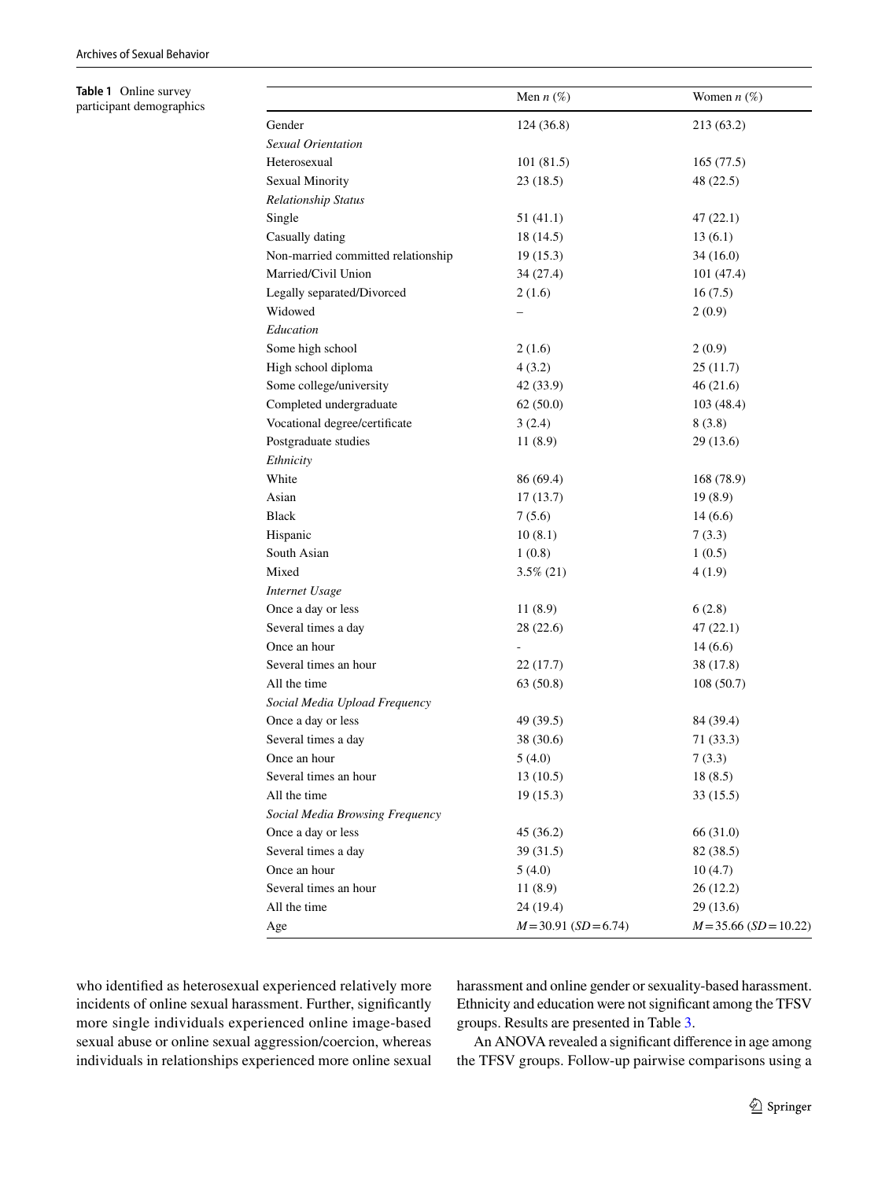<span id="page-6-0"></span>**Table 1** Online survey participant demographics

|                                    | Men $n$ (%)             | Women $n$ (%)            |
|------------------------------------|-------------------------|--------------------------|
| Gender                             | 124 (36.8)              | 213 (63.2)               |
| Sexual Orientation                 |                         |                          |
| Heterosexual                       | 101(81.5)               | 165(77.5)                |
| Sexual Minority                    | 23(18.5)                | 48 (22.5)                |
| <b>Relationship Status</b>         |                         |                          |
| Single                             | 51(41.1)                | 47(22.1)                 |
| Casually dating                    | 18 (14.5)               | 13(6.1)                  |
| Non-married committed relationship | 19 (15.3)               | 34(16.0)                 |
| Married/Civil Union                | 34(27.4)                | 101(47.4)                |
| Legally separated/Divorced         | 2(1.6)                  | 16(7.5)                  |
| Widowed                            |                         | 2(0.9)                   |
| Education                          |                         |                          |
| Some high school                   | 2(1.6)                  | 2(0.9)                   |
| High school diploma                | 4(3.2)                  | 25(11.7)                 |
| Some college/university            | 42 (33.9)               | 46(21.6)                 |
| Completed undergraduate            | 62(50.0)                | 103(48.4)                |
| Vocational degree/certificate      | 3(2.4)                  | 8(3.8)                   |
| Postgraduate studies               | 11 (8.9)                | 29 (13.6)                |
| Ethnicity                          |                         |                          |
| White                              | 86 (69.4)               | 168 (78.9)               |
| Asian                              | 17(13.7)                | 19(8.9)                  |
| Black                              | 7(5.6)                  | 14(6.6)                  |
| Hispanic                           | 10(8.1)                 | 7(3.3)                   |
| South Asian                        | 1(0.8)                  | 1(0.5)                   |
| Mixed                              | $3.5\%$ (21)            | 4(1.9)                   |
| Internet Usage                     |                         |                          |
| Once a day or less                 | 11(8.9)                 | 6(2.8)                   |
| Several times a day                | 28(22.6)                | 47(22.1)                 |
| Once an hour                       |                         | 14(6.6)                  |
| Several times an hour              | 22(17.7)                | 38 (17.8)                |
| All the time                       | 63(50.8)                | 108(50.7)                |
| Social Media Upload Frequency      |                         |                          |
| Once a day or less                 | 49 (39.5)               | 84 (39.4)                |
| Several times a day                | 38 (30.6)               | 71(33.3)                 |
| Once an hour                       | 5(4.0)                  | 7(3.3)                   |
| Several times an hour              | 13(10.5)                | 18(8.5)                  |
| All the time                       | 19(15.3)                | 33 (15.5)                |
| Social Media Browsing Frequency    |                         |                          |
| Once a day or less                 | 45(36.2)                | 66 (31.0)                |
| Several times a day                | 39(31.5)                | 82 (38.5)                |
| Once an hour                       | 5(4.0)                  | 10(4.7)                  |
| Several times an hour              | 11(8.9)                 | 26(12.2)                 |
| All the time                       | 24(19.4)                | 29(13.6)                 |
| Age                                | $M = 30.91$ (SD = 6.74) | $M = 35.66$ (SD = 10.22) |

who identifed as heterosexual experienced relatively more incidents of online sexual harassment. Further, significantly more single individuals experienced online image-based sexual abuse or online sexual aggression/coercion, whereas individuals in relationships experienced more online sexual harassment and online gender or sexuality-based harassment. Ethnicity and education were not signifcant among the TFSV groups. Results are presented in Table [3.](#page-7-1)

An ANOVA revealed a signifcant diference in age among the TFSV groups. Follow-up pairwise comparisons using a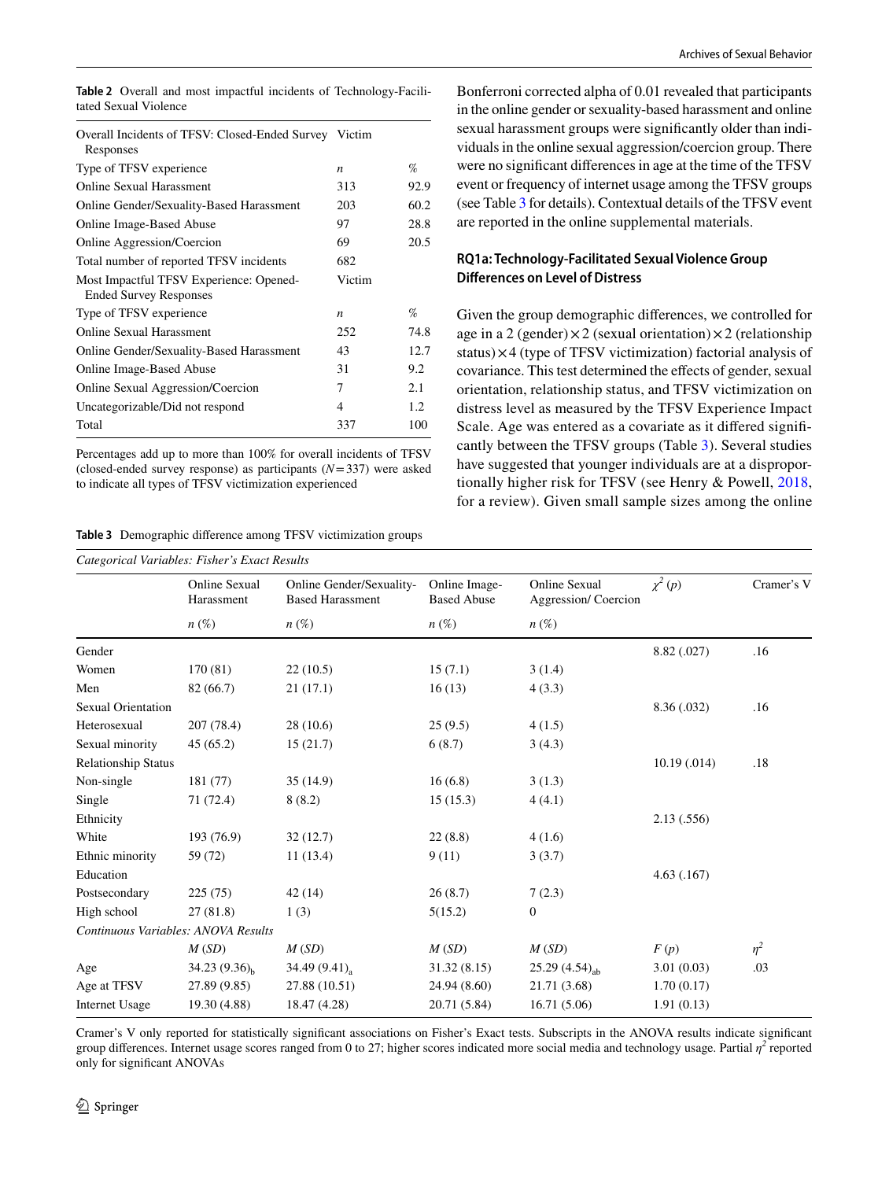<span id="page-7-0"></span>

|                       |  |  |  | <b>Table 2</b> Overall and most impactful incidents of Technology-Facili- |
|-----------------------|--|--|--|---------------------------------------------------------------------------|
| tated Sexual Violence |  |  |  |                                                                           |

| Overall Incidents of TFSV: Closed-Ended Survey Victim<br>Responses       |                  |      |
|--------------------------------------------------------------------------|------------------|------|
| Type of TFSV experience                                                  | $\boldsymbol{n}$ | %    |
| Online Sexual Harassment                                                 | 313              | 92.9 |
| Online Gender/Sexuality-Based Harassment                                 | 203              | 60.2 |
| <b>Online Image-Based Abuse</b>                                          | 97               | 28.8 |
| Online Aggression/Coercion                                               | 69               | 20.5 |
| Total number of reported TFSV incidents                                  | 682              |      |
| Most Impactful TFSV Experience: Opened-<br><b>Ended Survey Responses</b> | Victim           |      |
| Type of TFSV experience                                                  | $\boldsymbol{n}$ | %    |
| <b>Online Sexual Harassment</b>                                          | 252              | 74.8 |
| <b>Online Gender/Sexuality-Based Harassment</b>                          | 43               | 12.7 |
| <b>Online Image-Based Abuse</b>                                          | 31               | 9.2  |
| Online Sexual Aggression/Coercion                                        | 7                | 2.1  |
| Uncategorizable/Did not respond                                          | 4                | 1.2  |
| Total                                                                    | 337              | 100  |

Percentages add up to more than 100% for overall incidents of TFSV (closed-ended survey response) as participants (*N*=337) were asked to indicate all types of TFSV victimization experienced

<span id="page-7-1"></span>**Table 3** Demographic diference among TFSV victimization groups

Bonferroni corrected alpha of 0.01 revealed that participants in the online gender or sexuality-based harassment and online sexual harassment groups were signifcantly older than individuals in the online sexual aggression/coercion group. There were no signifcant diferences in age at the time of the TFSV event or frequency of internet usage among the TFSV groups (see Table [3](#page-7-1) for details). Contextual details of the TFSV event are reported in the online supplemental materials.

# **RQ1a: Technology‑Facilitated Sexual Violence Group Diferences on Level of Distress**

Given the group demographic diferences, we controlled for age in a 2 (gender) $\times$ 2 (sexual orientation) $\times$ 2 (relationship status)×4 (type of TFSV victimization) factorial analysis of covariance. This test determined the efects of gender, sexual orientation, relationship status, and TFSV victimization on distress level as measured by the TFSV Experience Impact Scale. Age was entered as a covariate as it difered signifcantly between the TFSV groups (Table [3](#page-7-1)). Several studies have suggested that younger individuals are at a disproportionally higher risk for TFSV (see Henry & Powell, [2018,](#page-16-1) for a review). Given small sample sizes among the online

| Categorical Variables: Fisher's Exact Results |                             |                                                     |                                     |                                             |              |            |  |
|-----------------------------------------------|-----------------------------|-----------------------------------------------------|-------------------------------------|---------------------------------------------|--------------|------------|--|
|                                               | Online Sexual<br>Harassment | Online Gender/Sexuality-<br><b>Based Harassment</b> | Online Image-<br><b>Based Abuse</b> | <b>Online Sexual</b><br>Aggression/Coercion | $\chi^2(p)$  | Cramer's V |  |
|                                               | $n\left(\%\right)$          | $n\left(\%\right)$                                  | $n\left(\%\right)$                  | $n\left(\%\right)$                          |              |            |  |
| Gender                                        |                             |                                                     |                                     |                                             | 8.82 (.027)  | .16        |  |
| Women                                         | 170(81)                     | 22(10.5)                                            | 15(7.1)                             | 3(1.4)                                      |              |            |  |
| Men                                           | 82 (66.7)                   | 21(17.1)                                            | 16(13)                              | 4(3.3)                                      |              |            |  |
| <b>Sexual Orientation</b>                     |                             |                                                     |                                     |                                             | 8.36 (.032)  | .16        |  |
| Heterosexual                                  | 207 (78.4)                  | 28(10.6)                                            | 25(9.5)                             | 4(1.5)                                      |              |            |  |
| Sexual minority                               | 45(65.2)                    | 15(21.7)                                            | 6(8.7)                              | 3(4.3)                                      |              |            |  |
| <b>Relationship Status</b>                    |                             |                                                     |                                     |                                             | 10.19(0.014) | .18        |  |
| Non-single                                    | 181 (77)                    | 35(14.9)                                            | 16(6.8)                             | 3(1.3)                                      |              |            |  |
| Single                                        | 71 (72.4)                   | 8(8.2)                                              | 15(15.3)                            | 4(4.1)                                      |              |            |  |
| Ethnicity                                     |                             |                                                     |                                     |                                             | 2.13(.556)   |            |  |
| White                                         | 193 (76.9)                  | 32(12.7)                                            | 22(8.8)                             | 4(1.6)                                      |              |            |  |
| Ethnic minority                               | 59 (72)                     | 11(13.4)                                            | 9(11)                               | 3(3.7)                                      |              |            |  |
| Education                                     |                             |                                                     |                                     |                                             | 4.63(0.167)  |            |  |
| Postsecondary                                 | 225(75)                     | 42(14)                                              | 26(8.7)                             | 7(2.3)                                      |              |            |  |
| High school                                   | 27(81.8)                    | 1(3)                                                | 5(15.2)                             | $\boldsymbol{0}$                            |              |            |  |
| Continuous Variables: ANOVA Results           |                             |                                                     |                                     |                                             |              |            |  |
|                                               | M(SD)                       | M(SD)                                               | M(SD)                               | M(SD)                                       | F(p)         | $\eta^2$   |  |
| Age                                           | 34.23 $(9.36)_{h}$          | 34.49 $(9.41)$ <sub>a</sub>                         | 31.32 (8.15)                        | 25.29 $(4.54)_{ab}$                         | 3.01(0.03)   | .03        |  |
| Age at TFSV                                   | 27.89 (9.85)                | 27.88 (10.51)                                       | 24.94 (8.60)                        | 21.71 (3.68)                                | 1.70(0.17)   |            |  |
| <b>Internet Usage</b>                         | 19.30 (4.88)                | 18.47 (4.28)                                        | 20.71 (5.84)                        | 16.71(5.06)                                 | 1.91(0.13)   |            |  |

Cramer's V only reported for statistically signifcant associations on Fisher's Exact tests. Subscripts in the ANOVA results indicate signifcant group differences. Internet usage scores ranged from 0 to 27; higher scores indicated more social media and technology usage. Partial  $\eta^2$  reported only for signifcant ANOVAs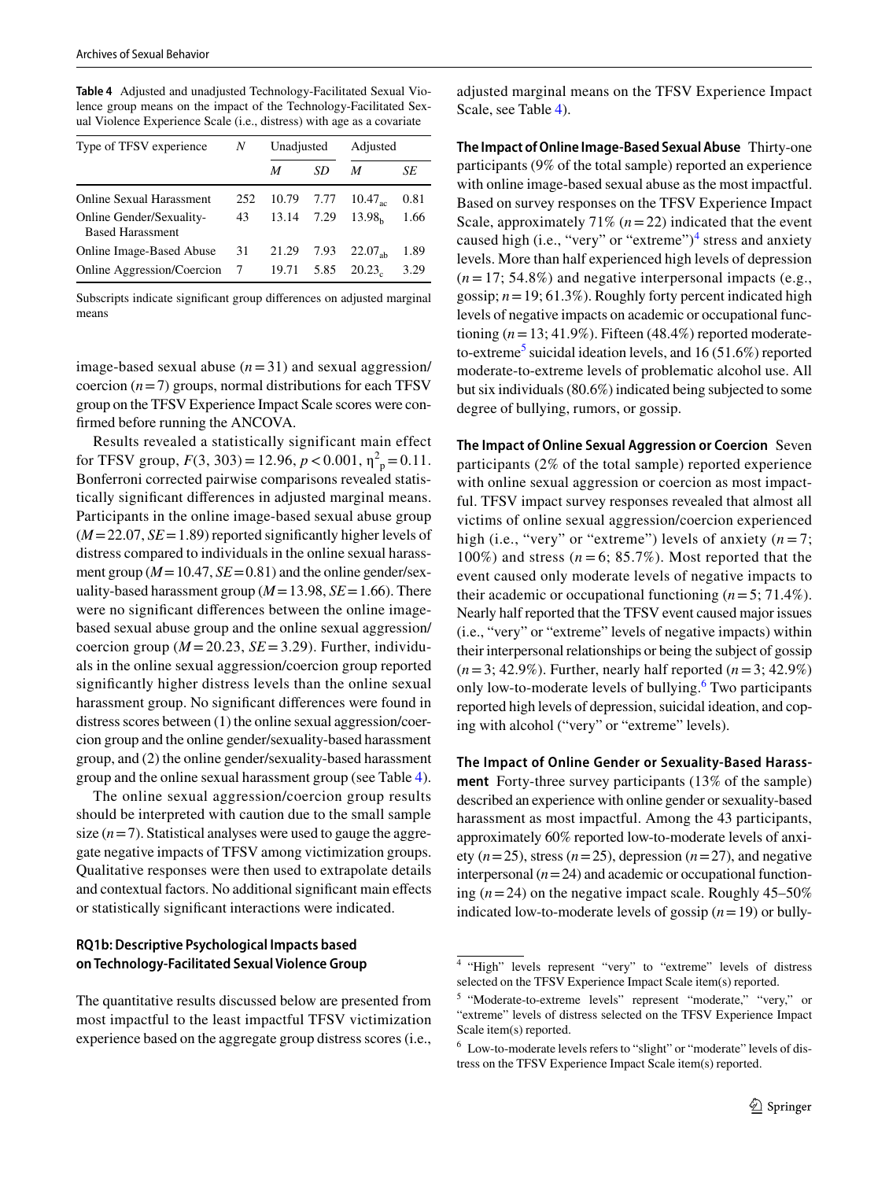<span id="page-8-0"></span>**Table 4** Adjusted and unadjusted Technology-Facilitated Sexual Violence group means on the impact of the Technology-Facilitated Sexual Violence Experience Scale (i.e., distress) with age as a covariate

| Type of TFSV experience                                    | N   | Unadjusted |      | Adjusted           |      |
|------------------------------------------------------------|-----|------------|------|--------------------|------|
|                                                            |     | M          | SD   | M                  | SE   |
| <b>Online Sexual Harassment</b>                            | 252 | 10.79      | 7.77 | $10.47_{ac}$       | 0.81 |
| <b>Online Gender/Sexuality-</b><br><b>Based Harassment</b> | 43  | 13.14      | 7.29 | 13.98 <sub>b</sub> | 1.66 |
| Online Image-Based Abuse                                   | 31  | 21.29      | 7.93 | $22.07_{\rm ah}$   | 1.89 |
| Online Aggression/Coercion                                 | 7   | 19.71      | 5.85 | 20.23              | 3.29 |

Subscripts indicate signifcant group diferences on adjusted marginal means

image-based sexual abuse (*n*=31) and sexual aggression/ coercion  $(n=7)$  groups, normal distributions for each TFSV group on the TFSV Experience Impact Scale scores were confrmed before running the ANCOVA.

Results revealed a statistically significant main effect for TFSV group,  $F(3, 303) = 12.96, p < 0.001, \eta^2_p = 0.11$ . Bonferroni corrected pairwise comparisons revealed statistically signifcant diferences in adjusted marginal means. Participants in the online image-based sexual abuse group  $(M=22.07, SE=1.89)$  reported significantly higher levels of distress compared to individuals in the online sexual harassment group ( $M = 10.47$ ,  $SE = 0.81$ ) and the online gender/sexuality-based harassment group ( $M=13.98$ ,  $SE=1.66$ ). There were no signifcant diferences between the online imagebased sexual abuse group and the online sexual aggression/ coercion group ( $M = 20.23$ ,  $SE = 3.29$ ). Further, individuals in the online sexual aggression/coercion group reported signifcantly higher distress levels than the online sexual harassment group. No signifcant diferences were found in distress scores between (1) the online sexual aggression/coercion group and the online gender/sexuality-based harassment group, and (2) the online gender/sexuality-based harassment group and the online sexual harassment group (see Table [4](#page-8-0)).

The online sexual aggression/coercion group results should be interpreted with caution due to the small sample size  $(n=7)$ . Statistical analyses were used to gauge the aggregate negative impacts of TFSV among victimization groups. Qualitative responses were then used to extrapolate details and contextual factors. No additional signifcant main efects or statistically signifcant interactions were indicated.

### **RQ1b: Descriptive Psychological Impacts based on Technology‑Facilitated Sexual Violence Group**

The quantitative results discussed below are presented from most impactful to the least impactful TFSV victimization experience based on the aggregate group distress scores (i.e.,

adjusted marginal means on the TFSV Experience Impact Scale, see Table [4\)](#page-8-0).

**The Impact of Online Image‑Based Sexual Abuse** Thirty-one participants (9% of the total sample) reported an experience with online image-based sexual abuse as the most impactful. Based on survey responses on the TFSV Experience Impact Scale, approximately  $71\%$   $(n=22)$  indicated that the event caused high (i.e., "very" or "extreme") $<sup>4</sup>$  $<sup>4</sup>$  $<sup>4</sup>$  stress and anxiety</sup> levels. More than half experienced high levels of depression  $(n=17; 54.8\%)$  and negative interpersonal impacts (e.g., gossip;  $n = 19$ ; 61.3%). Roughly forty percent indicated high levels of negative impacts on academic or occupational functioning  $(n=13; 41.9\%)$ . Fifteen (48.4%) reported moderate-to-extreme<sup>[5](#page-8-2)</sup> suicidal ideation levels, and 16 (51.6%) reported moderate-to-extreme levels of problematic alcohol use. All but six individuals (80.6%) indicated being subjected to some degree of bullying, rumors, or gossip.

**The Impact of Online Sexual Aggression or Coercion** Seven participants (2% of the total sample) reported experience with online sexual aggression or coercion as most impactful. TFSV impact survey responses revealed that almost all victims of online sexual aggression/coercion experienced high (i.e., "very" or "extreme") levels of anxiety  $(n=7)$ ; 100%) and stress  $(n=6; 85.7\%)$ . Most reported that the event caused only moderate levels of negative impacts to their academic or occupational functioning (*n*=5; 71.4%). Nearly half reported that the TFSV event caused major issues (i.e., "very" or "extreme" levels of negative impacts) within their interpersonal relationships or being the subject of gossip (*n*=3; 42.9%). Further, nearly half reported (*n*=3; 42.9%) only low-to-moderate levels of bullying.<sup>[6](#page-8-3)</sup> Two participants reported high levels of depression, suicidal ideation, and coping with alcohol ("very" or "extreme" levels).

**The Impact of Online Gender or Sexuality‑Based Harass‑ ment** Forty-three survey participants (13% of the sample) described an experience with online gender or sexuality-based harassment as most impactful. Among the 43 participants, approximately 60% reported low-to-moderate levels of anxiety  $(n=25)$ , stress  $(n=25)$ , depression  $(n=27)$ , and negative interpersonal  $(n=24)$  and academic or occupational functioning  $(n=24)$  on the negative impact scale. Roughly  $45-50\%$ indicated low-to-moderate levels of gossip  $(n=19)$  or bully-

<span id="page-8-1"></span><sup>4</sup> "High" levels represent "very" to "extreme" levels of distress selected on the TFSV Experience Impact Scale item(s) reported.

<span id="page-8-2"></span><sup>5</sup> "Moderate-to-extreme levels" represent "moderate," "very," or "extreme" levels of distress selected on the TFSV Experience Impact Scale item(s) reported.

<span id="page-8-3"></span><sup>&</sup>lt;sup>6</sup> Low-to-moderate levels refers to "slight" or "moderate" levels of distress on the TFSV Experience Impact Scale item(s) reported.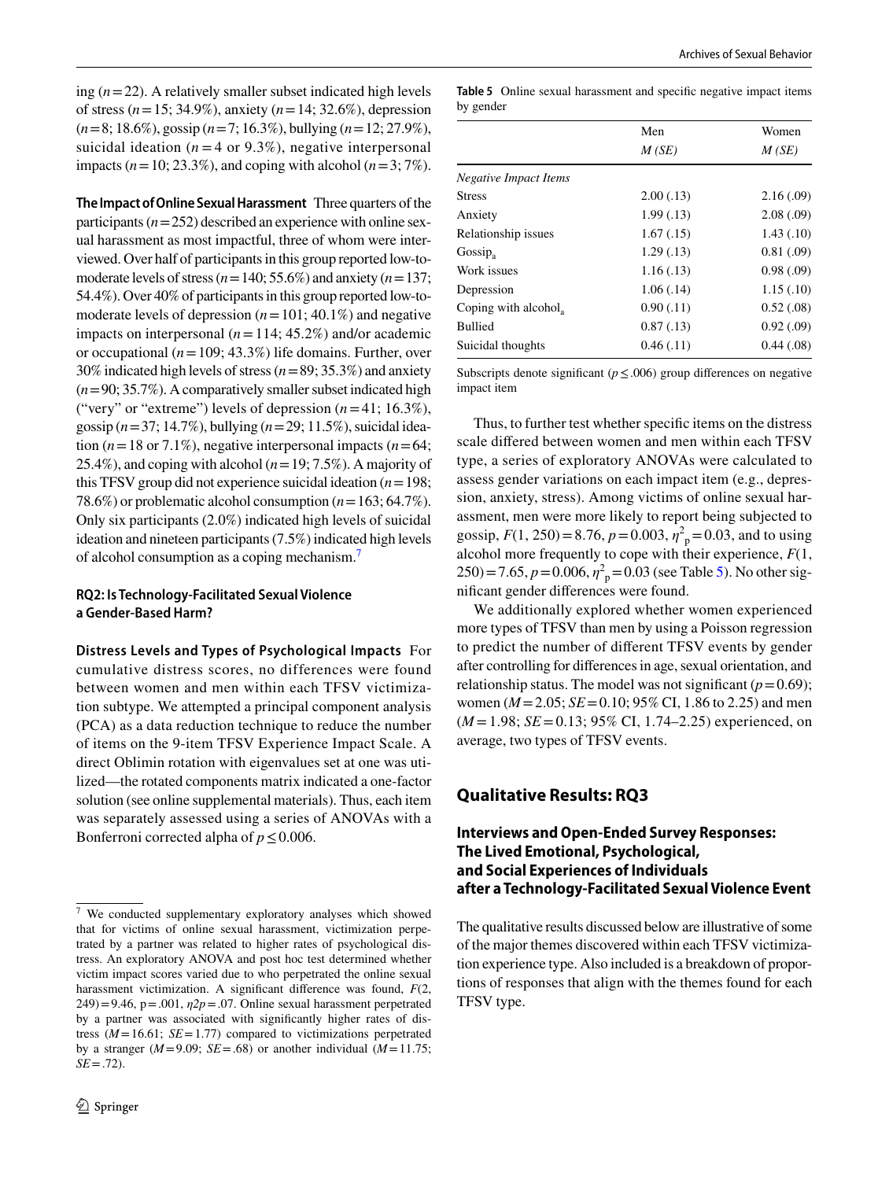ing (*n*=22). A relatively smaller subset indicated high levels of stress (*n*=15; 34.9%), anxiety (*n*=14; 32.6%), depression (*n*=8; 18.6%), gossip (*n*=7; 16.3%), bullying (*n*=12; 27.9%), suicidal ideation ( $n = 4$  or 9.3%), negative interpersonal impacts ( $n=10$ ; 23.3%), and coping with alcohol ( $n=3$ ; 7%).

**The Impact of Online Sexual Harassment** Three quarters of the participants  $(n=252)$  described an experience with online sexual harassment as most impactful, three of whom were interviewed. Over half of participants in this group reported low-tomoderate levels of stress (*n*=140; 55.6%) and anxiety (*n*=137; 54.4%). Over 40% of participants in this group reported low-tomoderate levels of depression  $(n=101; 40.1\%)$  and negative impacts on interpersonal (*n*=114; 45.2%) and/or academic or occupational (*n*=109; 43.3%) life domains. Further, over 30% indicated high levels of stress (*n*=89; 35.3%) and anxiety (*n*=90; 35.7%). A comparatively smaller subset indicated high ("very" or "extreme") levels of depression  $(n=41; 16.3\%)$ , gossip (*n*=37; 14.7%), bullying (*n*=29; 11.5%), suicidal ideation ( $n = 18$  or 7.1%), negative interpersonal impacts ( $n = 64$ ; 25.4%), and coping with alcohol (*n*=19; 7.5%). A majority of this TFSV group did not experience suicidal ideation (*n*=198; 78.6%) or problematic alcohol consumption (*n*=163; 64.7%). Only six participants (2.0%) indicated high levels of suicidal ideation and nineteen participants (7.5%) indicated high levels of alcohol consumption as a coping mechanism.

### **RQ2: Is Technology‑Facilitated Sexual Violence a Gender‑Based Harm?**

**Distress Levels and Types of Psychological Impacts** For cumulative distress scores, no differences were found between women and men within each TFSV victimization subtype. We attempted a principal component analysis (PCA) as a data reduction technique to reduce the number of items on the 9-item TFSV Experience Impact Scale. A direct Oblimin rotation with eigenvalues set at one was utilized—the rotated components matrix indicated a one-factor solution (see online supplemental materials). Thus, each item was separately assessed using a series of ANOVAs with a Bonferroni corrected alpha of  $p \le 0.006$ .

<span id="page-9-1"></span>**Table 5** Online sexual harassment and specifc negative impact items by gender

|                       | Men        | Women<br>M(SE) |  |
|-----------------------|------------|----------------|--|
|                       | M(SE)      |                |  |
| Negative Impact Items |            |                |  |
| <b>Stress</b>         | 2.00(0.13) | 2.16(.09)      |  |
| Anxiety               | 1.99(0.13) | 2.08(.09)      |  |
| Relationship issues   | 1.67(0.15) | 1.43(0.10)     |  |
| $Gossip_a$            | 1.29(0.13) | 0.81(0.09)     |  |
| Work issues           | 1.16(0.13) | 0.98(.09)      |  |
| Depression            | 1.06(0.14) | 1.15(.10)      |  |
| Coping with alcohol,  | 0.90(0.11) | 0.52(0.08)     |  |
| <b>Bullied</b>        | 0.87(0.13) | 0.92(0.09)     |  |
| Suicidal thoughts     | 0.46(0.11) | 0.44(0.08)     |  |

Subscripts denote significant ( $p \leq .006$ ) group differences on negative impact item

Thus, to further test whether specifc items on the distress scale difered between women and men within each TFSV type, a series of exploratory ANOVAs were calculated to assess gender variations on each impact item (e.g., depression, anxiety, stress). Among victims of online sexual harassment, men were more likely to report being subjected to gossip,  $F(1, 250) = 8.76$ ,  $p = 0.003$ ,  $\eta^2$ <sub>p</sub> = 0.03, and to using alcohol more frequently to cope with their experience, *F*(1,  $250) = 7.65, p = 0.006, \eta^2_{\text{p}} = 0.03$  (see Table [5](#page-9-1)). No other signifcant gender diferences were found.

We additionally explored whether women experienced more types of TFSV than men by using a Poisson regression to predict the number of diferent TFSV events by gender after controlling for diferences in age, sexual orientation, and relationship status. The model was not significant  $(p=0.69)$ ; women ( $M = 2.05$ ;  $SE = 0.10$ ; 95% CI, 1.86 to 2.25) and men (*M* =1.98; *SE*=0.13; 95% CI, 1.74–2.25) experienced, on average, two types of TFSV events.

# **Qualitative Results: RQ3**

### **Interviews and Open‑Ended Survey Responses: The Lived Emotional, Psychological, and Social Experiences of Individuals after a Technology‑Facilitated Sexual Violence Event**

The qualitative results discussed below are illustrative of some of the major themes discovered within each TFSV victimization experience type. Also included is a breakdown of proportions of responses that align with the themes found for each TFSV type.

<span id="page-9-0"></span><sup>7</sup> We conducted supplementary exploratory analyses which showed that for victims of online sexual harassment, victimization perpetrated by a partner was related to higher rates of psychological distress. An exploratory ANOVA and post hoc test determined whether victim impact scores varied due to who perpetrated the online sexual harassment victimization. A signifcant diference was found, *F*(2,  $249$ )=9.46, p=.001,  $\eta$ 2*p*=.07. Online sexual harassment perpetrated by a partner was associated with signifcantly higher rates of distress  $(M=16.61; SE=1.77)$  compared to victimizations perpetrated by a stranger ( $M=9.09$ ;  $SE=.68$ ) or another individual ( $M=11.75$ ;  $SE = .72$ ).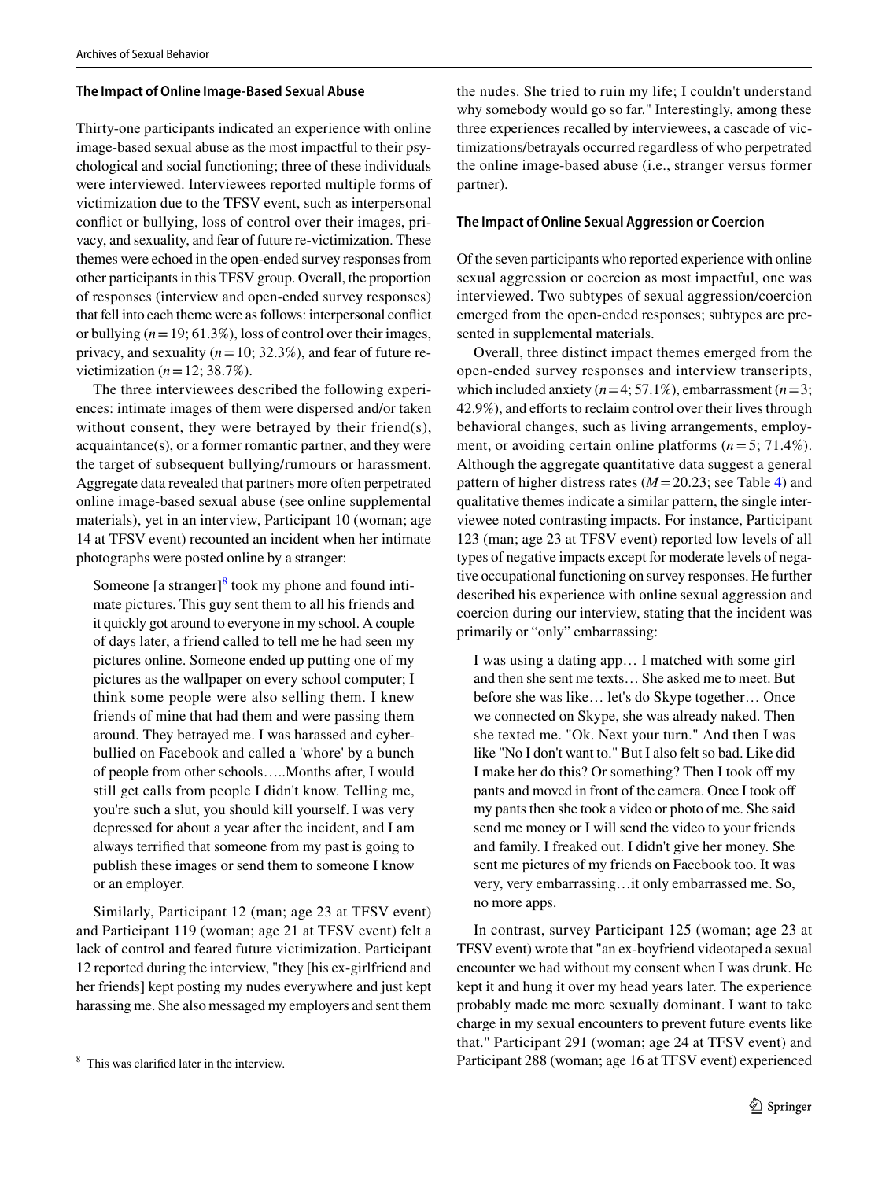### **The Impact of Online Image‑Based Sexual Abuse**

Thirty-one participants indicated an experience with online image-based sexual abuse as the most impactful to their psychological and social functioning; three of these individuals were interviewed. Interviewees reported multiple forms of victimization due to the TFSV event, such as interpersonal confict or bullying, loss of control over their images, privacy, and sexuality, and fear of future re-victimization. These themes were echoed in the open-ended survey responses from other participants in this TFSV group. Overall, the proportion of responses (interview and open-ended survey responses) that fell into each theme were as follows: interpersonal confict or bullying  $(n=19; 61.3\%)$ , loss of control over their images, privacy, and sexuality  $(n=10; 32.3\%)$ , and fear of future revictimization  $(n=12; 38.7\%)$ .

The three interviewees described the following experiences: intimate images of them were dispersed and/or taken without consent, they were betrayed by their friend(s), acquaintance(s), or a former romantic partner, and they were the target of subsequent bullying/rumours or harassment. Aggregate data revealed that partners more often perpetrated online image-based sexual abuse (see online supplemental materials), yet in an interview, Participant 10 (woman; age 14 at TFSV event) recounted an incident when her intimate photographs were posted online by a stranger:

Someone [a stranger]<sup>[8](#page-10-0)</sup> took my phone and found intimate pictures. This guy sent them to all his friends and it quickly got around to everyone in my school. A couple of days later, a friend called to tell me he had seen my pictures online. Someone ended up putting one of my pictures as the wallpaper on every school computer; I think some people were also selling them. I knew friends of mine that had them and were passing them around. They betrayed me. I was harassed and cyberbullied on Facebook and called a 'whore' by a bunch of people from other schools…..Months after, I would still get calls from people I didn't know. Telling me, you're such a slut, you should kill yourself. I was very depressed for about a year after the incident, and I am always terrifed that someone from my past is going to publish these images or send them to someone I know or an employer.

Similarly, Participant 12 (man; age 23 at TFSV event) and Participant 119 (woman; age 21 at TFSV event) felt a lack of control and feared future victimization. Participant 12 reported during the interview, "they [his ex-girlfriend and her friends] kept posting my nudes everywhere and just kept harassing me. She also messaged my employers and sent them

the nudes. She tried to ruin my life; I couldn't understand why somebody would go so far." Interestingly, among these three experiences recalled by interviewees, a cascade of victimizations/betrayals occurred regardless of who perpetrated the online image-based abuse (i.e., stranger versus former partner).

#### **The Impact of Online Sexual Aggression or Coercion**

Of the seven participants who reported experience with online sexual aggression or coercion as most impactful, one was interviewed. Two subtypes of sexual aggression/coercion emerged from the open-ended responses; subtypes are presented in supplemental materials.

Overall, three distinct impact themes emerged from the open-ended survey responses and interview transcripts, which included anxiety  $(n=4; 57.1\%)$ , embarrassment  $(n=3;$ 42.9%), and efforts to reclaim control over their lives through behavioral changes, such as living arrangements, employment, or avoiding certain online platforms (*n*=5; 71.4%). Although the aggregate quantitative data suggest a general pattern of higher distress rates (*M*=20.23; see Table [4](#page-8-0)) and qualitative themes indicate a similar pattern, the single interviewee noted contrasting impacts. For instance, Participant 123 (man; age 23 at TFSV event) reported low levels of all types of negative impacts except for moderate levels of negative occupational functioning on survey responses. He further described his experience with online sexual aggression and coercion during our interview, stating that the incident was primarily or "only" embarrassing:

I was using a dating app… I matched with some girl and then she sent me texts… She asked me to meet. But before she was like… let's do Skype together… Once we connected on Skype, she was already naked. Then she texted me. "Ok. Next your turn." And then I was like "No I don't want to." But I also felt so bad. Like did I make her do this? Or something? Then I took off my pants and moved in front of the camera. Once I took of my pants then she took a video or photo of me. She said send me money or I will send the video to your friends and family. I freaked out. I didn't give her money. She sent me pictures of my friends on Facebook too. It was very, very embarrassing…it only embarrassed me. So, no more apps.

In contrast, survey Participant 125 (woman; age 23 at TFSV event) wrote that "an ex-boyfriend videotaped a sexual encounter we had without my consent when I was drunk. He kept it and hung it over my head years later. The experience probably made me more sexually dominant. I want to take charge in my sexual encounters to prevent future events like that." Participant 291 (woman; age 24 at TFSV event) and This was clarified later in the interview. **Participant 288** (woman; age 16 at TFSV event) experienced

<span id="page-10-0"></span>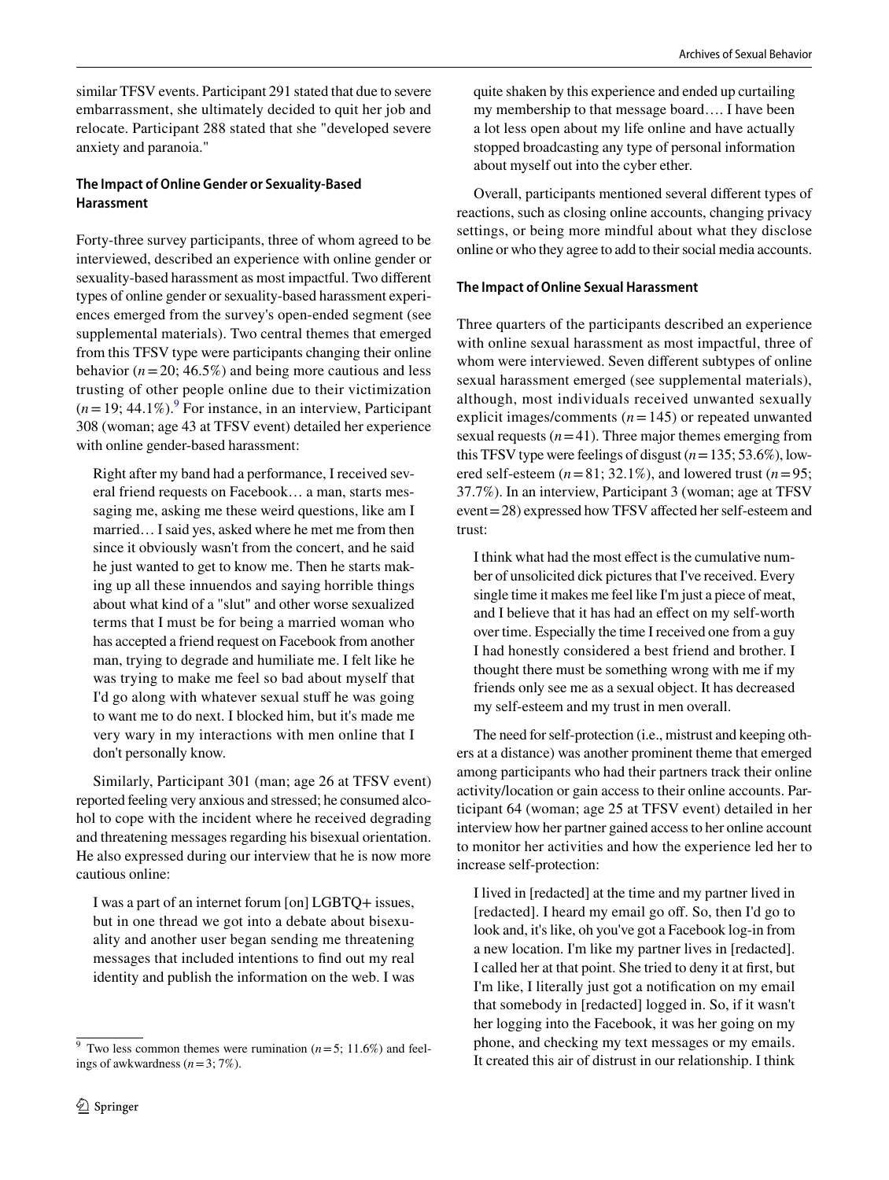similar TFSV events. Participant 291 stated that due to severe embarrassment, she ultimately decided to quit her job and relocate. Participant 288 stated that she "developed severe anxiety and paranoia."

### **The Impact of Online Gender or Sexuality‑Based Harassment**

Forty-three survey participants, three of whom agreed to be interviewed, described an experience with online gender or sexuality-based harassment as most impactful. Two diferent types of online gender or sexuality-based harassment experiences emerged from the survey's open-ended segment (see supplemental materials). Two central themes that emerged from this TFSV type were participants changing their online behavior  $(n=20; 46.5%)$  and being more cautious and less trusting of other people online due to their victimization  $(n=19; 44.1\%)$  $(n=19; 44.1\%)$  $(n=19; 44.1\%)$ .<sup>9</sup> For instance, in an interview, Participant 308 (woman; age 43 at TFSV event) detailed her experience with online gender-based harassment:

Right after my band had a performance, I received several friend requests on Facebook… a man, starts messaging me, asking me these weird questions, like am I married… I said yes, asked where he met me from then since it obviously wasn't from the concert, and he said he just wanted to get to know me. Then he starts making up all these innuendos and saying horrible things about what kind of a "slut" and other worse sexualized terms that I must be for being a married woman who has accepted a friend request on Facebook from another man, trying to degrade and humiliate me. I felt like he was trying to make me feel so bad about myself that I'd go along with whatever sexual stuff he was going to want me to do next. I blocked him, but it's made me very wary in my interactions with men online that I don't personally know.

Similarly, Participant 301 (man; age 26 at TFSV event) reported feeling very anxious and stressed; he consumed alcohol to cope with the incident where he received degrading and threatening messages regarding his bisexual orientation. He also expressed during our interview that he is now more cautious online:

I was a part of an internet forum [on] LGBTQ+ issues, but in one thread we got into a debate about bisexuality and another user began sending me threatening messages that included intentions to fnd out my real identity and publish the information on the web. I was quite shaken by this experience and ended up curtailing my membership to that message board…. I have been a lot less open about my life online and have actually stopped broadcasting any type of personal information about myself out into the cyber ether.

Overall, participants mentioned several diferent types of reactions, such as closing online accounts, changing privacy settings, or being more mindful about what they disclose online or who they agree to add to their social media accounts.

### **The Impact of Online Sexual Harassment**

Three quarters of the participants described an experience with online sexual harassment as most impactful, three of whom were interviewed. Seven diferent subtypes of online sexual harassment emerged (see supplemental materials), although, most individuals received unwanted sexually explicit images/comments (*n*=145) or repeated unwanted sexual requests  $(n=41)$ . Three major themes emerging from this TFSV type were feelings of disgust  $(n=135; 53.6\%)$ , lowered self-esteem  $(n=81; 32.1\%)$ , and lowered trust  $(n=95;$ 37.7%). In an interview, Participant 3 (woman; age at TFSV event = 28) expressed how TFSV affected her self-esteem and trust:

I think what had the most efect is the cumulative number of unsolicited dick pictures that I've received. Every single time it makes me feel like I'm just a piece of meat, and I believe that it has had an efect on my self-worth over time. Especially the time I received one from a guy I had honestly considered a best friend and brother. I thought there must be something wrong with me if my friends only see me as a sexual object. It has decreased my self-esteem and my trust in men overall.

The need for self-protection (i.e., mistrust and keeping others at a distance) was another prominent theme that emerged among participants who had their partners track their online activity/location or gain access to their online accounts. Participant 64 (woman; age 25 at TFSV event) detailed in her interview how her partner gained access to her online account to monitor her activities and how the experience led her to increase self-protection:

I lived in [redacted] at the time and my partner lived in [redacted]. I heard my email go of. So, then I'd go to look and, it's like, oh you've got a Facebook log-in from a new location. I'm like my partner lives in [redacted]. I called her at that point. She tried to deny it at frst, but I'm like, I literally just got a notifcation on my email that somebody in [redacted] logged in. So, if it wasn't her logging into the Facebook, it was her going on my phone, and checking my text messages or my emails. It created this air of distrust in our relationship. I think

<span id="page-11-0"></span><sup>&</sup>lt;sup>9</sup> Two less common themes were rumination ( $n=5$ ; 11.6%) and feelings of awkwardness (*n*=3; 7%).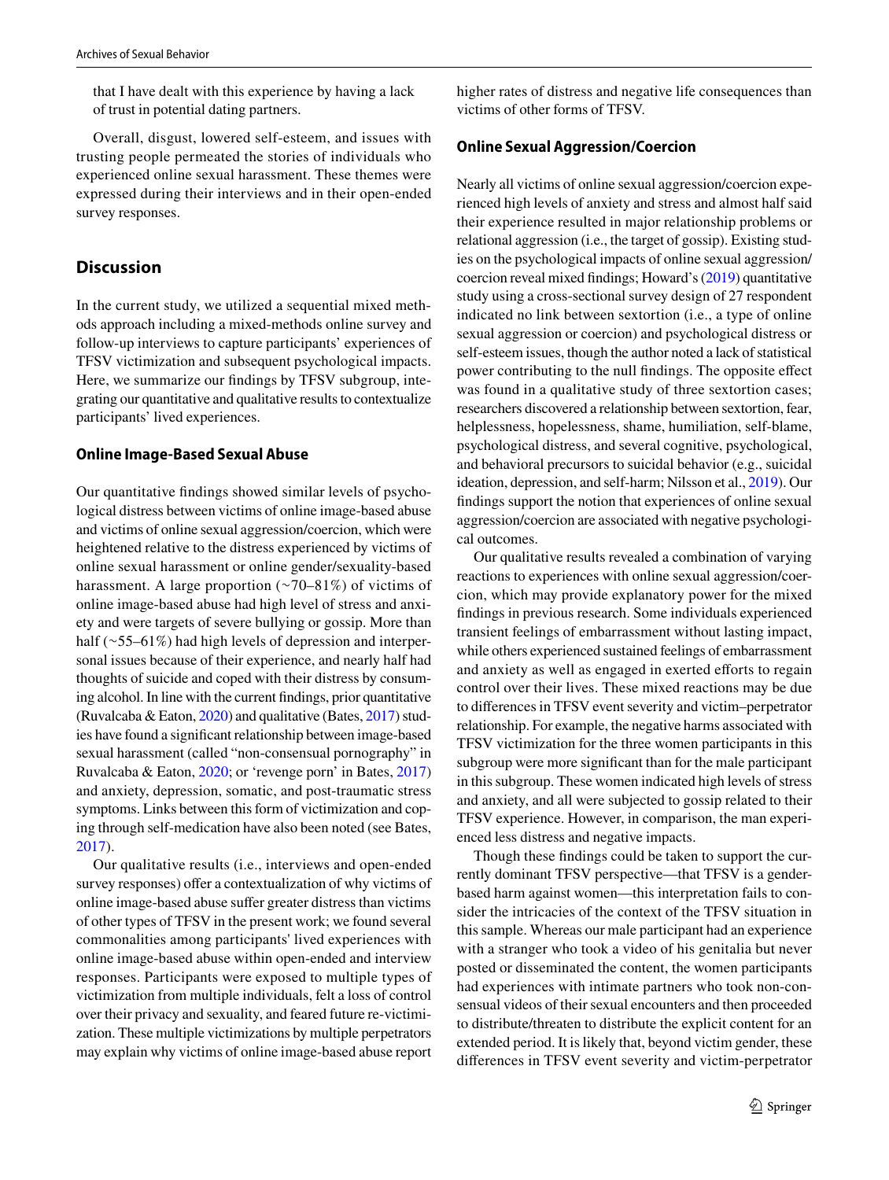that I have dealt with this experience by having a lack of trust in potential dating partners.

Overall, disgust, lowered self-esteem, and issues with trusting people permeated the stories of individuals who experienced online sexual harassment. These themes were expressed during their interviews and in their open-ended survey responses.

# **Discussion**

In the current study, we utilized a sequential mixed methods approach including a mixed-methods online survey and follow-up interviews to capture participants' experiences of TFSV victimization and subsequent psychological impacts. Here, we summarize our fndings by TFSV subgroup, integrating our quantitative and qualitative results to contextualize participants' lived experiences.

#### **Online Image‑Based Sexual Abuse**

Our quantitative fndings showed similar levels of psychological distress between victims of online image-based abuse and victims of online sexual aggression/coercion, which were heightened relative to the distress experienced by victims of online sexual harassment or online gender/sexuality-based harassment. A large proportion (∼70–81%) of victims of online image-based abuse had high level of stress and anxiety and were targets of severe bullying or gossip. More than half (∼55–61%) had high levels of depression and interpersonal issues because of their experience, and nearly half had thoughts of suicide and coped with their distress by consuming alcohol. In line with the current fndings, prior quantitative (Ruvalcaba & Eaton, [2020\)](#page-16-14) and qualitative (Bates, [2017\)](#page-15-2) studies have found a signifcant relationship between image-based sexual harassment (called "non-consensual pornography" in Ruvalcaba & Eaton, [2020](#page-16-14); or 'revenge porn' in Bates, [2017\)](#page-15-2) and anxiety, depression, somatic, and post-traumatic stress symptoms. Links between this form of victimization and coping through self-medication have also been noted (see Bates, [2017](#page-15-2)).

Our qualitative results (i.e., interviews and open-ended survey responses) offer a contextualization of why victims of online image-based abuse sufer greater distress than victims of other types of TFSV in the present work; we found several commonalities among participants' lived experiences with online image-based abuse within open-ended and interview responses. Participants were exposed to multiple types of victimization from multiple individuals, felt a loss of control over their privacy and sexuality, and feared future re-victimization. These multiple victimizations by multiple perpetrators may explain why victims of online image-based abuse report higher rates of distress and negative life consequences than victims of other forms of TFSV.

### **Online Sexual Aggression/Coercion**

Nearly all victims of online sexual aggression/coercion experienced high levels of anxiety and stress and almost half said their experience resulted in major relationship problems or relational aggression (i.e., the target of gossip). Existing studies on the psychological impacts of online sexual aggression/ coercion reveal mixed fndings; Howard's [\(2019\)](#page-16-24) quantitative study using a cross-sectional survey design of 27 respondent indicated no link between sextortion (i.e., a type of online sexual aggression or coercion) and psychological distress or self-esteem issues, though the author noted a lack of statistical power contributing to the null fndings. The opposite efect was found in a qualitative study of three sextortion cases; researchers discovered a relationship between sextortion, fear, helplessness, hopelessness, shame, humiliation, self-blame, psychological distress, and several cognitive, psychological, and behavioral precursors to suicidal behavior (e.g., suicidal ideation, depression, and self-harm; Nilsson et al., [2019](#page-16-25)). Our fndings support the notion that experiences of online sexual aggression/coercion are associated with negative psychological outcomes.

Our qualitative results revealed a combination of varying reactions to experiences with online sexual aggression/coercion, which may provide explanatory power for the mixed fndings in previous research. Some individuals experienced transient feelings of embarrassment without lasting impact, while others experienced sustained feelings of embarrassment and anxiety as well as engaged in exerted efforts to regain control over their lives. These mixed reactions may be due to diferences in TFSV event severity and victim–perpetrator relationship. For example, the negative harms associated with TFSV victimization for the three women participants in this subgroup were more signifcant than for the male participant in this subgroup. These women indicated high levels of stress and anxiety, and all were subjected to gossip related to their TFSV experience. However, in comparison, the man experienced less distress and negative impacts.

Though these fndings could be taken to support the currently dominant TFSV perspective—that TFSV is a genderbased harm against women—this interpretation fails to consider the intricacies of the context of the TFSV situation in this sample. Whereas our male participant had an experience with a stranger who took a video of his genitalia but never posted or disseminated the content, the women participants had experiences with intimate partners who took non-consensual videos of their sexual encounters and then proceeded to distribute/threaten to distribute the explicit content for an extended period. It is likely that, beyond victim gender, these diferences in TFSV event severity and victim-perpetrator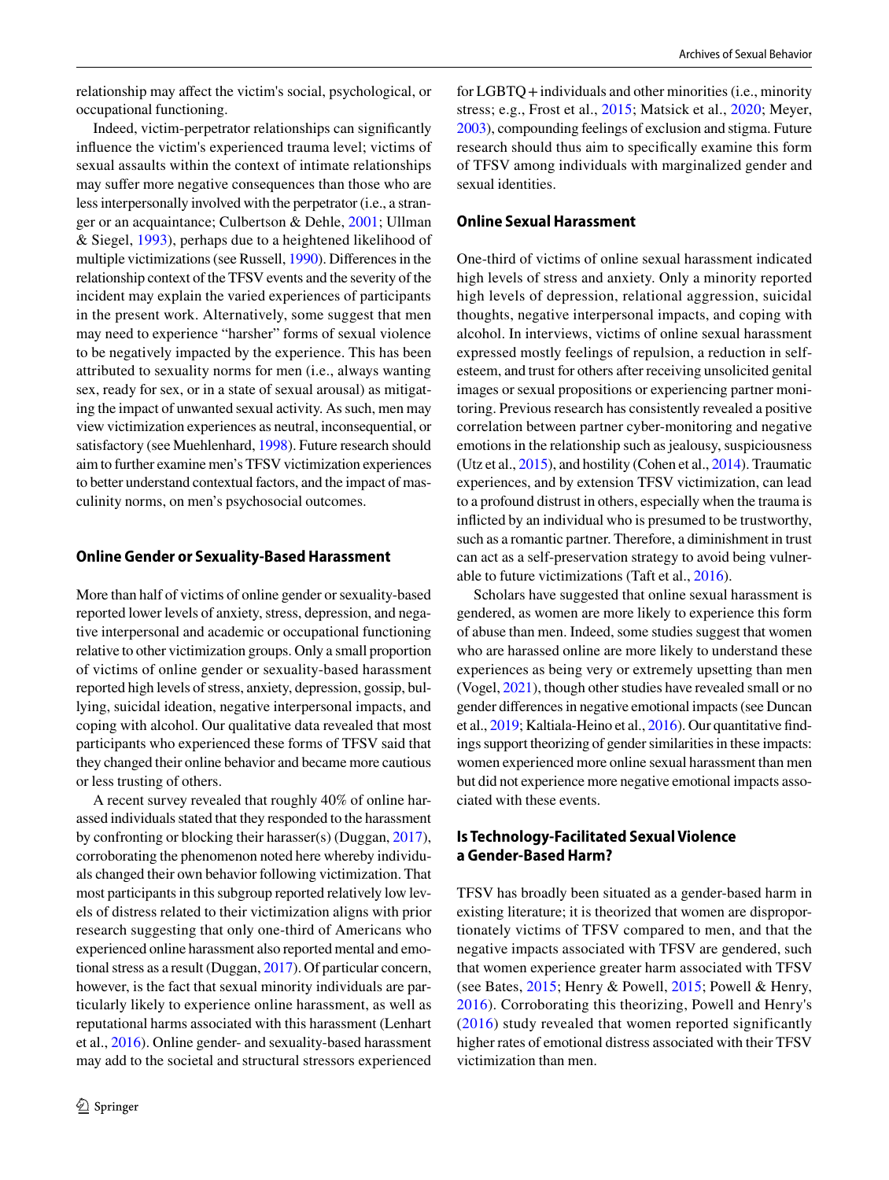relationship may afect the victim's social, psychological, or occupational functioning.

Indeed, victim-perpetrator relationships can signifcantly infuence the victim's experienced trauma level; victims of sexual assaults within the context of intimate relationships may suffer more negative consequences than those who are less interpersonally involved with the perpetrator (i.e., a stranger or an acquaintance; Culbertson & Dehle, [2001;](#page-16-26) Ullman & Siegel, [1993](#page-17-9)), perhaps due to a heightened likelihood of multiple victimizations (see Russell, [1990](#page-16-27)). Diferences in the relationship context of the TFSV events and the severity of the incident may explain the varied experiences of participants in the present work. Alternatively, some suggest that men may need to experience "harsher" forms of sexual violence to be negatively impacted by the experience. This has been attributed to sexuality norms for men (i.e., always wanting sex, ready for sex, or in a state of sexual arousal) as mitigating the impact of unwanted sexual activity. As such, men may view victimization experiences as neutral, inconsequential, or satisfactory (see Muehlenhard, [1998\)](#page-16-28). Future research should aim to further examine men's TFSV victimization experiences to better understand contextual factors, and the impact of masculinity norms, on men's psychosocial outcomes.

#### **Online Gender or Sexuality‑Based Harassment**

More than half of victims of online gender or sexuality-based reported lower levels of anxiety, stress, depression, and negative interpersonal and academic or occupational functioning relative to other victimization groups. Only a small proportion of victims of online gender or sexuality-based harassment reported high levels of stress, anxiety, depression, gossip, bullying, suicidal ideation, negative interpersonal impacts, and coping with alcohol. Our qualitative data revealed that most participants who experienced these forms of TFSV said that they changed their online behavior and became more cautious or less trusting of others.

A recent survey revealed that roughly 40% of online harassed individuals stated that they responded to the harassment by confronting or blocking their harasser(s) (Duggan, [2017](#page-16-29)), corroborating the phenomenon noted here whereby individuals changed their own behavior following victimization. That most participants in this subgroup reported relatively low levels of distress related to their victimization aligns with prior research suggesting that only one-third of Americans who experienced online harassment also reported mental and emotional stress as a result (Duggan, [2017](#page-16-29)). Of particular concern, however, is the fact that sexual minority individuals are particularly likely to experience online harassment, as well as reputational harms associated with this harassment (Lenhart et al., [2016](#page-16-30)). Online gender- and sexuality-based harassment may add to the societal and structural stressors experienced for LGBTQ + individuals and other minorities (i.e., minority stress; e.g., Frost et al., [2015;](#page-16-31) Matsick et al., [2020](#page-16-32); Meyer, [2003\)](#page-16-33), compounding feelings of exclusion and stigma. Future research should thus aim to specifcally examine this form of TFSV among individuals with marginalized gender and sexual identities.

#### **Online Sexual Harassment**

One-third of victims of online sexual harassment indicated high levels of stress and anxiety. Only a minority reported high levels of depression, relational aggression, suicidal thoughts, negative interpersonal impacts, and coping with alcohol. In interviews, victims of online sexual harassment expressed mostly feelings of repulsion, a reduction in selfesteem, and trust for others after receiving unsolicited genital images or sexual propositions or experiencing partner monitoring. Previous research has consistently revealed a positive correlation between partner cyber-monitoring and negative emotions in the relationship such as jealousy, suspiciousness (Utz et al., [2015](#page-17-10)), and hostility (Cohen et al., [2014\)](#page-16-34). Traumatic experiences, and by extension TFSV victimization, can lead to a profound distrust in others, especially when the trauma is inficted by an individual who is presumed to be trustworthy, such as a romantic partner. Therefore, a diminishment in trust can act as a self-preservation strategy to avoid being vulnerable to future victimizations (Taft et al., [2016](#page-17-11)).

Scholars have suggested that online sexual harassment is gendered, as women are more likely to experience this form of abuse than men. Indeed, some studies suggest that women who are harassed online are more likely to understand these experiences as being very or extremely upsetting than men (Vogel, [2021](#page-17-12)), though other studies have revealed small or no gender diferences in negative emotional impacts (see Duncan et al., [2019;](#page-16-35) Kaltiala-Heino et al., [2016\)](#page-16-36). Our quantitative fndings support theorizing of gender similarities in these impacts: women experienced more online sexual harassment than men but did not experience more negative emotional impacts associated with these events.

### **Is Technology‑Facilitated Sexual Violence a Gender‑Based Harm?**

TFSV has broadly been situated as a gender-based harm in existing literature; it is theorized that women are disproportionately victims of TFSV compared to men, and that the negative impacts associated with TFSV are gendered, such that women experience greater harm associated with TFSV (see Bates, [2015](#page-15-3); Henry & Powell, [2015;](#page-16-7) Powell & Henry, [2016\)](#page-16-2). Corroborating this theorizing, Powell and Henry's ([2016\)](#page-16-2) study revealed that women reported significantly higher rates of emotional distress associated with their TFSV victimization than men.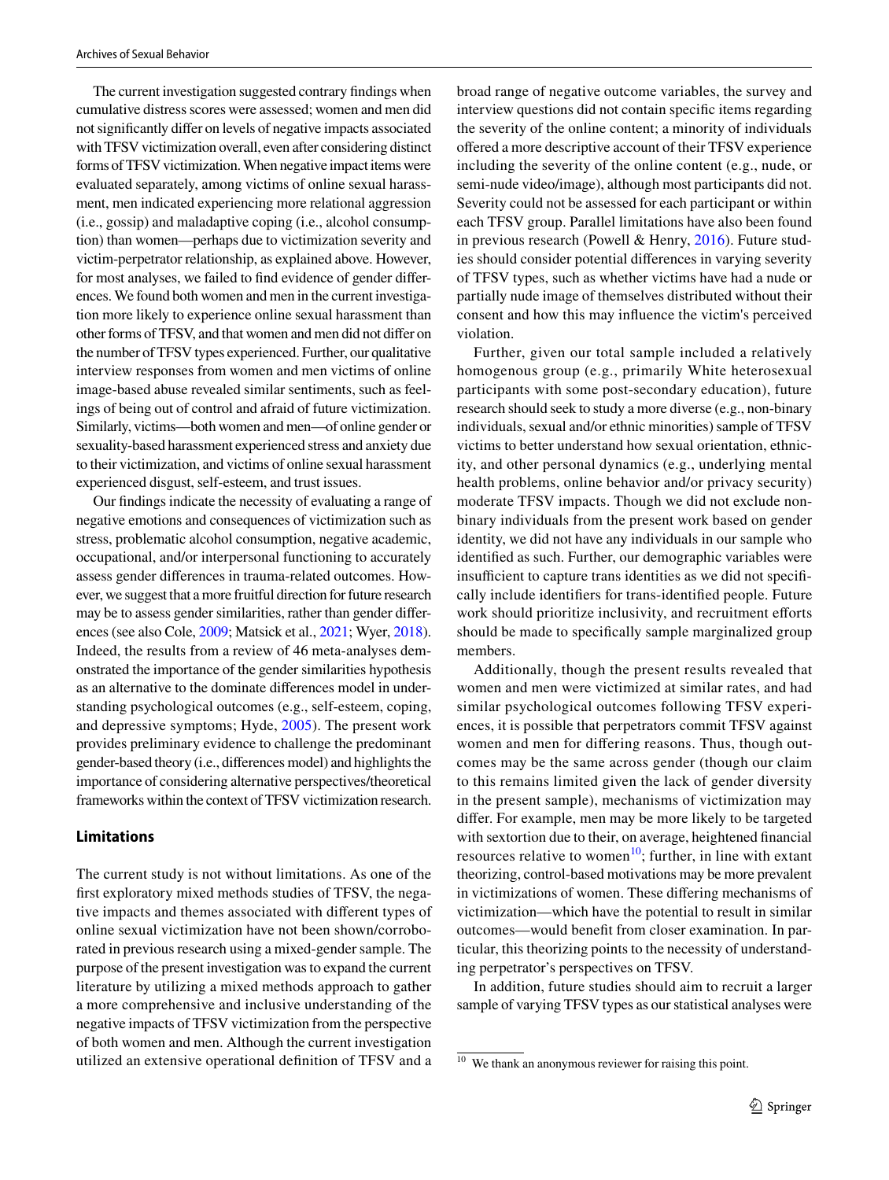The current investigation suggested contrary fndings when cumulative distress scores were assessed; women and men did not signifcantly difer on levels of negative impacts associated with TFSV victimization overall, even after considering distinct forms of TFSV victimization. When negative impact items were evaluated separately, among victims of online sexual harassment, men indicated experiencing more relational aggression (i.e., gossip) and maladaptive coping (i.e., alcohol consumption) than women—perhaps due to victimization severity and victim-perpetrator relationship, as explained above. However, for most analyses, we failed to fnd evidence of gender diferences. We found both women and men in the current investigation more likely to experience online sexual harassment than other forms of TFSV, and that women and men did not difer on the number of TFSV types experienced. Further, our qualitative interview responses from women and men victims of online image-based abuse revealed similar sentiments, such as feelings of being out of control and afraid of future victimization. Similarly, victims—both women and men—of online gender or sexuality-based harassment experienced stress and anxiety due to their victimization, and victims of online sexual harassment experienced disgust, self-esteem, and trust issues.

Our fndings indicate the necessity of evaluating a range of negative emotions and consequences of victimization such as stress, problematic alcohol consumption, negative academic, occupational, and/or interpersonal functioning to accurately assess gender diferences in trauma-related outcomes. However, we suggest that a more fruitful direction for future research may be to assess gender similarities, rather than gender diferences (see also Cole, [2009;](#page-16-16) Matsick et al., [2021;](#page-16-17) Wyer, [2018](#page-17-7)). Indeed, the results from a review of 46 meta-analyses demonstrated the importance of the gender similarities hypothesis as an alternative to the dominate diferences model in understanding psychological outcomes (e.g., self-esteem, coping, and depressive symptoms; Hyde, [2005](#page-16-15)). The present work provides preliminary evidence to challenge the predominant gender-based theory (i.e., diferences model) and highlights the importance of considering alternative perspectives/theoretical frameworks within the context of TFSV victimization research.

#### **Limitations**

The current study is not without limitations. As one of the frst exploratory mixed methods studies of TFSV, the negative impacts and themes associated with diferent types of online sexual victimization have not been shown/corroborated in previous research using a mixed-gender sample. The purpose of the present investigation was to expand the current literature by utilizing a mixed methods approach to gather a more comprehensive and inclusive understanding of the negative impacts of TFSV victimization from the perspective of both women and men. Although the current investigation utilized an extensive operational defnition of TFSV and a broad range of negative outcome variables, the survey and interview questions did not contain specifc items regarding the severity of the online content; a minority of individuals ofered a more descriptive account of their TFSV experience including the severity of the online content (e.g., nude, or semi-nude video/image), although most participants did not. Severity could not be assessed for each participant or within each TFSV group. Parallel limitations have also been found in previous research (Powell & Henry, [2016\)](#page-16-2). Future studies should consider potential diferences in varying severity of TFSV types, such as whether victims have had a nude or partially nude image of themselves distributed without their consent and how this may infuence the victim's perceived violation.

Further, given our total sample included a relatively homogenous group (e.g., primarily White heterosexual participants with some post-secondary education), future research should seek to study a more diverse (e.g., non-binary individuals, sexual and/or ethnic minorities) sample of TFSV victims to better understand how sexual orientation, ethnicity, and other personal dynamics (e.g., underlying mental health problems, online behavior and/or privacy security) moderate TFSV impacts. Though we did not exclude nonbinary individuals from the present work based on gender identity, we did not have any individuals in our sample who identifed as such. Further, our demographic variables were insufficient to capture trans identities as we did not specifically include identifers for trans-identifed people. Future work should prioritize inclusivity, and recruitment efforts should be made to specifcally sample marginalized group members.

Additionally, though the present results revealed that women and men were victimized at similar rates, and had similar psychological outcomes following TFSV experiences, it is possible that perpetrators commit TFSV against women and men for difering reasons. Thus, though outcomes may be the same across gender (though our claim to this remains limited given the lack of gender diversity in the present sample), mechanisms of victimization may difer. For example, men may be more likely to be targeted with sextortion due to their, on average, heightened fnancial resources relative to women<sup>10</sup>; further, in line with extant theorizing, control-based motivations may be more prevalent in victimizations of women. These difering mechanisms of victimization—which have the potential to result in similar outcomes—would beneft from closer examination. In particular, this theorizing points to the necessity of understanding perpetrator's perspectives on TFSV.

In addition, future studies should aim to recruit a larger sample of varying TFSV types as our statistical analyses were

<span id="page-14-0"></span><sup>10</sup> We thank an anonymous reviewer for raising this point.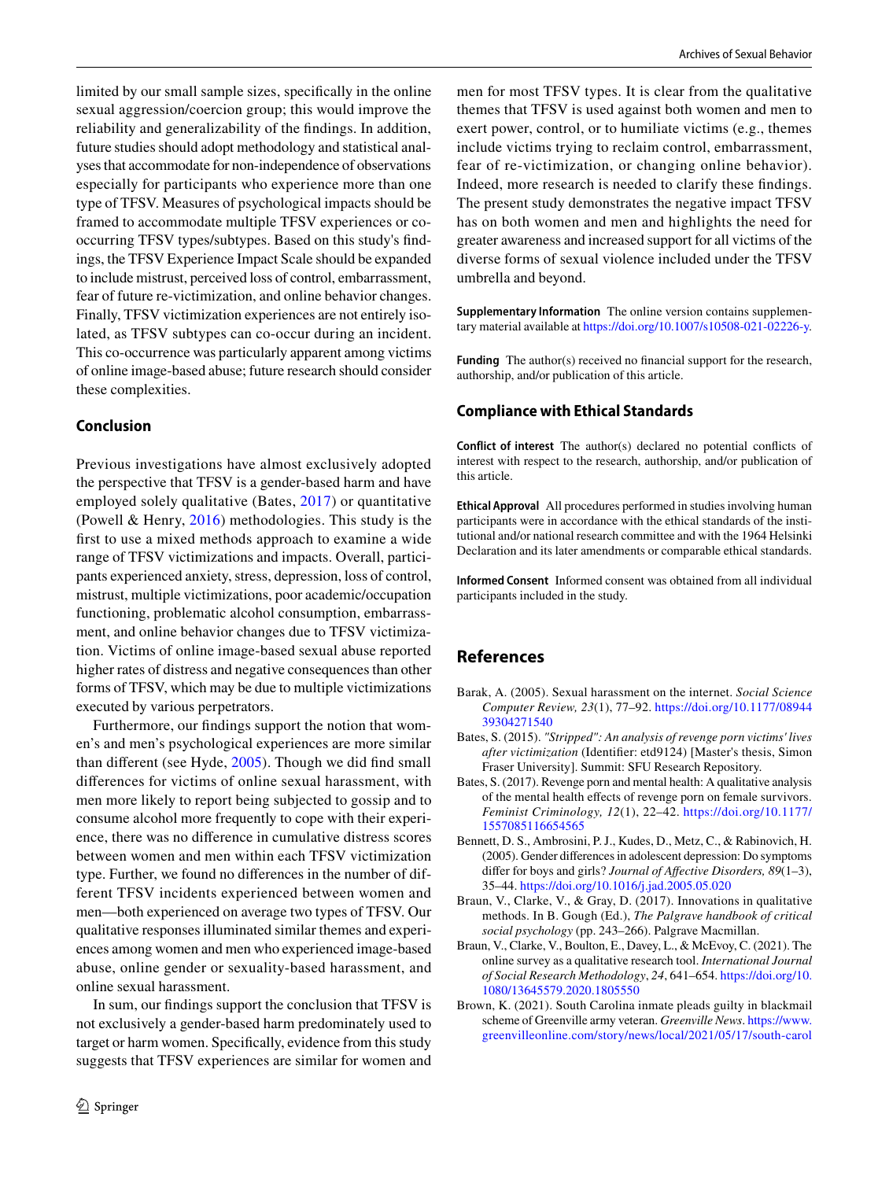limited by our small sample sizes, specifcally in the online sexual aggression/coercion group; this would improve the reliability and generalizability of the fndings. In addition, future studies should adopt methodology and statistical analyses that accommodate for non-independence of observations especially for participants who experience more than one type of TFSV. Measures of psychological impacts should be framed to accommodate multiple TFSV experiences or cooccurring TFSV types/subtypes. Based on this study's fndings, the TFSV Experience Impact Scale should be expanded to include mistrust, perceived loss of control, embarrassment, fear of future re-victimization, and online behavior changes. Finally, TFSV victimization experiences are not entirely isolated, as TFSV subtypes can co-occur during an incident. This co-occurrence was particularly apparent among victims of online image-based abuse; future research should consider these complexities.

#### **Conclusion**

Previous investigations have almost exclusively adopted the perspective that TFSV is a gender-based harm and have employed solely qualitative (Bates, [2017](#page-15-2)) or quantitative (Powell & Henry, [2016\)](#page-16-2) methodologies. This study is the frst to use a mixed methods approach to examine a wide range of TFSV victimizations and impacts. Overall, participants experienced anxiety, stress, depression, loss of control, mistrust, multiple victimizations, poor academic/occupation functioning, problematic alcohol consumption, embarrassment, and online behavior changes due to TFSV victimization. Victims of online image-based sexual abuse reported higher rates of distress and negative consequences than other forms of TFSV, which may be due to multiple victimizations executed by various perpetrators.

Furthermore, our fndings support the notion that women's and men's psychological experiences are more similar than diferent (see Hyde, [2005\)](#page-16-15). Though we did fnd small diferences for victims of online sexual harassment, with men more likely to report being subjected to gossip and to consume alcohol more frequently to cope with their experience, there was no diference in cumulative distress scores between women and men within each TFSV victimization type. Further, we found no diferences in the number of different TFSV incidents experienced between women and men—both experienced on average two types of TFSV. Our qualitative responses illuminated similar themes and experiences among women and men who experienced image-based abuse, online gender or sexuality-based harassment, and online sexual harassment.

In sum, our fndings support the conclusion that TFSV is not exclusively a gender-based harm predominately used to target or harm women. Specifcally, evidence from this study suggests that TFSV experiences are similar for women and men for most TFSV types. It is clear from the qualitative themes that TFSV is used against both women and men to exert power, control, or to humiliate victims (e.g., themes include victims trying to reclaim control, embarrassment, fear of re-victimization, or changing online behavior). Indeed, more research is needed to clarify these fndings. The present study demonstrates the negative impact TFSV has on both women and men and highlights the need for greater awareness and increased support for all victims of the diverse forms of sexual violence included under the TFSV umbrella and beyond.

**Supplementary Information** The online version contains supplementary material available at<https://doi.org/10.1007/s10508-021-02226-y>.

**Funding** The author(s) received no financial support for the research, authorship, and/or publication of this article.

## **Compliance with Ethical Standards**

**Conflict of interest** The author(s) declared no potential conficts of interest with respect to the research, authorship, and/or publication of this article.

**Ethical Approval** All procedures performed in studies involving human participants were in accordance with the ethical standards of the institutional and/or national research committee and with the 1964 Helsinki Declaration and its later amendments or comparable ethical standards.

**Informed Consent** Informed consent was obtained from all individual participants included in the study.

## **References**

- <span id="page-15-1"></span>Barak, A. (2005). Sexual harassment on the internet. *Social Science Computer Review, 23*(1), 77–92. [https://doi.org/10.1177/08944](https://doi.org/10.1177/0894439304271540) [39304271540](https://doi.org/10.1177/0894439304271540)
- <span id="page-15-3"></span>Bates, S. (2015). *"Stripped": An analysis of revenge porn victims' lives after victimization* (Identifer: etd9124) [Master's thesis, Simon Fraser University]. Summit: SFU Research Repository.
- <span id="page-15-2"></span>Bates, S. (2017). Revenge porn and mental health: A qualitative analysis of the mental health efects of revenge porn on female survivors. *Feminist Criminology, 12*(1), 22–42. [https://doi.org/10.1177/](https://doi.org/10.1177/1557085116654565) [1557085116654565](https://doi.org/10.1177/1557085116654565)
- <span id="page-15-4"></span>Bennett, D. S., Ambrosini, P. J., Kudes, D., Metz, C., & Rabinovich, H. (2005). Gender diferences in adolescent depression: Do symptoms difer for boys and girls? *Journal of Afective Disorders, 89*(1–3), 35–44. <https://doi.org/10.1016/j.jad.2005.05.020>
- <span id="page-15-6"></span>Braun, V., Clarke, V., & Gray, D. (2017). Innovations in qualitative methods. In B. Gough (Ed.), *The Palgrave handbook of critical social psychology* (pp. 243–266). Palgrave Macmillan.
- <span id="page-15-5"></span>Braun, V., Clarke, V., Boulton, E., Davey, L., & McEvoy, C. (2021). The online survey as a qualitative research tool. *International Journal of Social Research Methodology*, *24*, 641–654. [https://doi.org/10.](https://doi.org/10.1080/13645579.2020.1805550) [1080/13645579.2020.1805550](https://doi.org/10.1080/13645579.2020.1805550)
- <span id="page-15-0"></span>Brown, K. (2021). South Carolina inmate pleads guilty in blackmail scheme of Greenville army veteran. *Greenville News*. [https://www.](https://www.greenvilleonline.com/story/news/local/2021/05/17/south-carolina-inmate-pleads-guilty-blackmail-plot-greenville-army-veteran/5097333001/) [greenvilleonline.com/story/news/local/2021/05/17/south-carol](https://www.greenvilleonline.com/story/news/local/2021/05/17/south-carolina-inmate-pleads-guilty-blackmail-plot-greenville-army-veteran/5097333001/)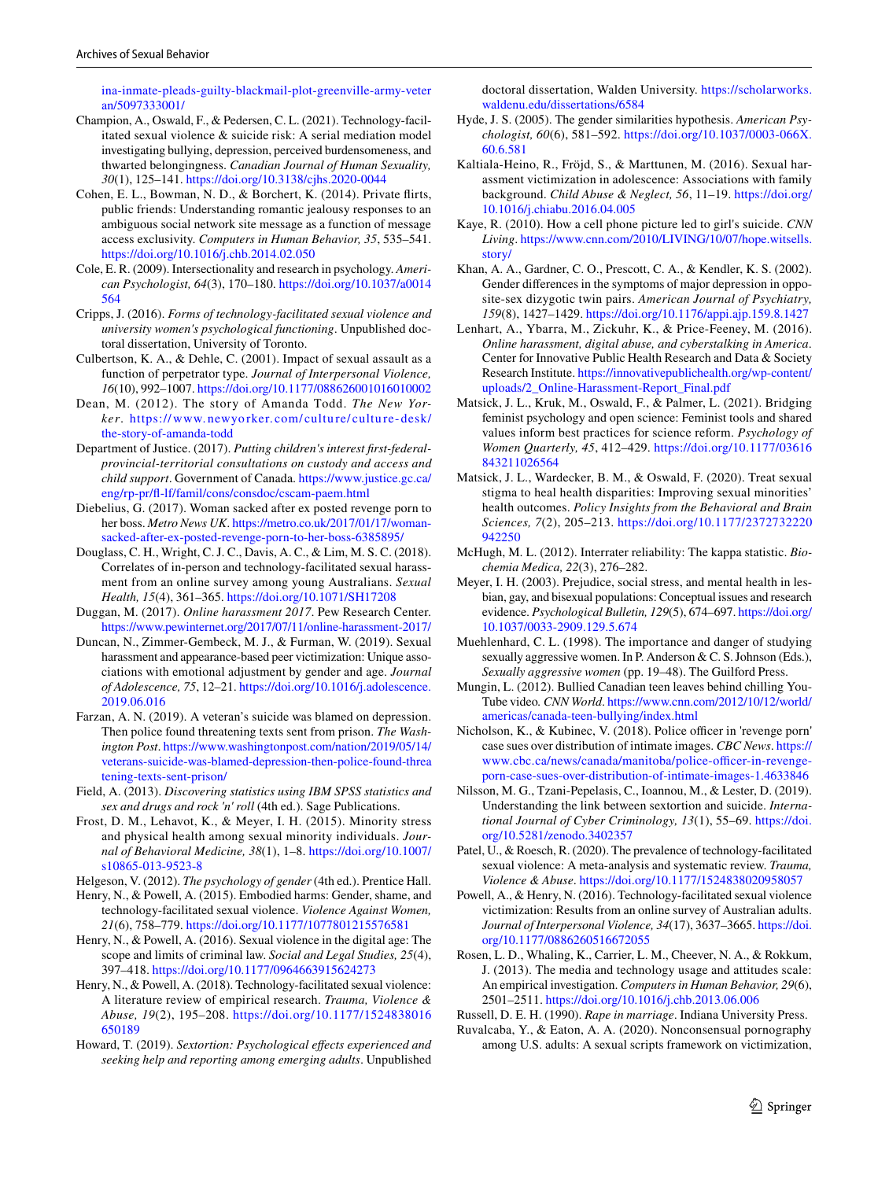[ina-inmate-pleads-guilty-blackmail-plot-greenville-army-veter](https://www.greenvilleonline.com/story/news/local/2021/05/17/south-carolina-inmate-pleads-guilty-blackmail-plot-greenville-army-veteran/5097333001/) [an/5097333001/](https://www.greenvilleonline.com/story/news/local/2021/05/17/south-carolina-inmate-pleads-guilty-blackmail-plot-greenville-army-veteran/5097333001/)

- <span id="page-16-9"></span>Champion, A., Oswald, F., & Pedersen, C. L. (2021). Technology-facilitated sexual violence & suicide risk: A serial mediation model investigating bullying, depression, perceived burdensomeness, and thwarted belongingness. *Canadian Journal of Human Sexuality, 30*(1), 125–141.<https://doi.org/10.3138/cjhs.2020-0044>
- <span id="page-16-34"></span>Cohen, E. L., Bowman, N. D., & Borchert, K. (2014). Private firts, public friends: Understanding romantic jealousy responses to an ambiguous social network site message as a function of message access exclusivity. *Computers in Human Behavior, 35*, 535–541. <https://doi.org/10.1016/j.chb.2014.02.050>
- <span id="page-16-16"></span>Cole, E. R. (2009). Intersectionality and research in psychology. *American Psychologist, 64*(3), 170–180. [https://doi.org/10.1037/a0014](https://doi.org/10.1037/a0014564) [564](https://doi.org/10.1037/a0014564)
- <span id="page-16-8"></span>Cripps, J. (2016). *Forms of technology-facilitated sexual violence and university women's psychological functioning*. Unpublished doctoral dissertation, University of Toronto.
- <span id="page-16-26"></span>Culbertson, K. A., & Dehle, C. (2001). Impact of sexual assault as a function of perpetrator type. *Journal of Interpersonal Violence, 16*(10), 992–1007.<https://doi.org/10.1177/088626001016010002>
- <span id="page-16-21"></span>Dean, M. (2012). The story of Amanda Todd. *The New Yorker*. [https://www.](https://www.newyorker.com/culture/culture-desk/the-story-of-amanda-todd) newyo rker. com/ cultu re/ cultu re- desk/ [the-story-of-amanda-todd](https://www.newyorker.com/culture/culture-desk/the-story-of-amanda-todd)
- <span id="page-16-18"></span>Department of Justice. (2017). *Putting children's interest frst-federalprovincial-territorial consultations on custody and access and child support*. Government of Canada. [https://www.justice.gc.ca/](https://www.justice.gc.ca/eng/rp-pr/fl-lf/famil/cons/consdoc/cscam-paem.html) [eng/rp-pr/f-lf/famil/cons/consdoc/cscam-paem.html](https://www.justice.gc.ca/eng/rp-pr/fl-lf/famil/cons/consdoc/cscam-paem.html)
- <span id="page-16-4"></span>Diebelius, G. (2017). Woman sacked after ex posted revenge porn to her boss. *Metro News UK*. [https://metro.co.uk/2017/01/17/woman](https://metro.co.uk/2017/01/17/woman-sacked-after-ex-posted-revenge-porn-to-her-boss-6385895/)[sacked-after-ex-posted-revenge-porn-to-her-boss-6385895/](https://metro.co.uk/2017/01/17/woman-sacked-after-ex-posted-revenge-porn-to-her-boss-6385895/)
- <span id="page-16-11"></span>Douglass, C. H., Wright, C. J. C., Davis, A. C., & Lim, M. S. C. (2018). Correlates of in-person and technology-facilitated sexual harassment from an online survey among young Australians. *Sexual Health, 15*(4), 361–365.<https://doi.org/10.1071/SH17208>
- <span id="page-16-29"></span>Duggan, M. (2017). *Online harassment 2017*. Pew Research Center. <https://www.pewinternet.org/2017/07/11/online-harassment-2017/>
- <span id="page-16-35"></span>Duncan, N., Zimmer-Gembeck, M. J., & Furman, W. (2019). Sexual harassment and appearance-based peer victimization: Unique associations with emotional adjustment by gender and age. *Journal of Adolescence, 75*, 12–21. [https://doi.org/10.1016/j.adolescence.](https://doi.org/10.1016/j.adolescence.2019.06.016) [2019.06.016](https://doi.org/10.1016/j.adolescence.2019.06.016)
- <span id="page-16-0"></span>Farzan, A. N. (2019). A veteran's suicide was blamed on depression. Then police found threatening texts sent from prison. *The Washington Post*. [https://www.washingtonpost.com/nation/2019/05/14/](https://www.washingtonpost.com/nation/2019/05/14/veterans-suicide-was-blamed-depression-then-police-found-threatening-texts-sent-prison/) [veterans-suicide-was-blamed-depression-then-police-found-threa](https://www.washingtonpost.com/nation/2019/05/14/veterans-suicide-was-blamed-depression-then-police-found-threatening-texts-sent-prison/) [tening-texts-sent-prison/](https://www.washingtonpost.com/nation/2019/05/14/veterans-suicide-was-blamed-depression-then-police-found-threatening-texts-sent-prison/)
- <span id="page-16-23"></span>Field, A. (2013). *Discovering statistics using IBM SPSS statistics and sex and drugs and rock 'n' roll* (4th ed.). Sage Publications.
- <span id="page-16-31"></span>Frost, D. M., Lehavot, K., & Meyer, I. H. (2015). Minority stress and physical health among sexual minority individuals. *Journal of Behavioral Medicine, 38*(1), 1–8. [https://doi.org/10.1007/](https://doi.org/10.1007/s10865-013-9523-8) [s10865-013-9523-8](https://doi.org/10.1007/s10865-013-9523-8)
- <span id="page-16-12"></span><span id="page-16-7"></span>Helgeson, V. (2012). *The psychology of gender* (4th ed.). Prentice Hall. Henry, N., & Powell, A. (2015). Embodied harms: Gender, shame, and technology-facilitated sexual violence. *Violence Against Women,*
- <span id="page-16-10"></span>*21*(6), 758–779.<https://doi.org/10.1177/1077801215576581> Henry, N., & Powell, A. (2016). Sexual violence in the digital age: The
- scope and limits of criminal law. *Social and Legal Studies, 25*(4), 397–418.<https://doi.org/10.1177/0964663915624273>
- <span id="page-16-1"></span>Henry, N., & Powell, A. (2018). Technology-facilitated sexual violence: A literature review of empirical research. *Trauma, Violence & Abuse, 19*(2), 195–208. [https://doi.org/10.1177/1524838016](https://doi.org/10.1177/1524838016650189) [650189](https://doi.org/10.1177/1524838016650189)
- <span id="page-16-24"></span>Howard, T. (2019). *Sextortion: Psychological efects experienced and seeking help and reporting among emerging adults*. Unpublished

doctoral dissertation, Walden University. [https://scholarworks.](https://scholarworks.waldenu.edu/dissertations/6584) [waldenu.edu/dissertations/6584](https://scholarworks.waldenu.edu/dissertations/6584)

- <span id="page-16-15"></span>Hyde, J. S. (2005). The gender similarities hypothesis. *American Psychologist, 60*(6), 581–592. [https://doi.org/10.1037/0003-066X.](https://doi.org/10.1037/0003-066X.60.6.581) [60.6.581](https://doi.org/10.1037/0003-066X.60.6.581)
- <span id="page-16-36"></span>Kaltiala-Heino, R., Fröjd, S., & Marttunen, M. (2016). Sexual harassment victimization in adolescence: Associations with family background. *Child Abuse & Neglect, 56*, 11–19. [https://doi.org/](https://doi.org/10.1016/j.chiabu.2016.04.005) [10.1016/j.chiabu.2016.04.005](https://doi.org/10.1016/j.chiabu.2016.04.005)
- <span id="page-16-5"></span>Kaye, R. (2010). How a cell phone picture led to girl's suicide. *CNN Living*. [https://www.cnn.com/2010/LIVING/10/07/hope.witsells.](https://www.cnn.com/2010/LIVING/10/07/hope.witsells.story/) [story/](https://www.cnn.com/2010/LIVING/10/07/hope.witsells.story/)
- <span id="page-16-13"></span>Khan, A. A., Gardner, C. O., Prescott, C. A., & Kendler, K. S. (2002). Gender diferences in the symptoms of major depression in opposite-sex dizygotic twin pairs. *American Journal of Psychiatry, 159*(8), 1427–1429.<https://doi.org/10.1176/appi.ajp.159.8.1427>
- <span id="page-16-30"></span>Lenhart, A., Ybarra, M., Zickuhr, K., & Price-Feeney, M. (2016). *Online harassment, digital abuse, and cyberstalking in America*. Center for Innovative Public Health Research and Data & Society Research Institute. [https://innovativepublichealth.org/wp-content/](https://innovativepublichealth.org/wp-content/uploads/2_Online-Harassment-Report_Final.pdf) [uploads/2\\_Online-Harassment-Report\\_Final.pdf](https://innovativepublichealth.org/wp-content/uploads/2_Online-Harassment-Report_Final.pdf)
- <span id="page-16-17"></span>Matsick, J. L., Kruk, M., Oswald, F., & Palmer, L. (2021). Bridging feminist psychology and open science: Feminist tools and shared values inform best practices for science reform. *Psychology of Women Quarterly, 45*, 412–429. [https://doi.org/10.1177/03616](https://doi.org/10.1177/03616843211026564) [843211026564](https://doi.org/10.1177/03616843211026564)
- <span id="page-16-32"></span>Matsick, J. L., Wardecker, B. M., & Oswald, F. (2020). Treat sexual stigma to heal health disparities: Improving sexual minorities' health outcomes. *Policy Insights from the Behavioral and Brain Sciences, 7*(2), 205–213. [https://doi.org/10.1177/2372732220](https://doi.org/10.1177/2372732220942250) [942250](https://doi.org/10.1177/2372732220942250)
- <span id="page-16-20"></span>McHugh, M. L. (2012). Interrater reliability: The kappa statistic. *Biochemia Medica, 22*(3), 276–282.
- <span id="page-16-33"></span>Meyer, I. H. (2003). Prejudice, social stress, and mental health in lesbian, gay, and bisexual populations: Conceptual issues and research evidence. *Psychological Bulletin, 129*(5), 674–697. [https://doi.org/](https://doi.org/10.1037/0033-2909.129.5.674) [10.1037/0033-2909.129.5.674](https://doi.org/10.1037/0033-2909.129.5.674)
- <span id="page-16-28"></span>Muehlenhard, C. L. (1998). The importance and danger of studying sexually aggressive women. In P. Anderson & C. S. Johnson (Eds.), *Sexually aggressive women* (pp. 19–48). The Guilford Press.
- <span id="page-16-6"></span>Mungin, L. (2012). Bullied Canadian teen leaves behind chilling You-Tube video*. CNN World*. [https://www.cnn.com/2012/10/12/world/](https://www.cnn.com/2012/10/12/world/americas/canada-teen-bullying/index.html) [americas/canada-teen-bullying/index.html](https://www.cnn.com/2012/10/12/world/americas/canada-teen-bullying/index.html)
- <span id="page-16-22"></span>Nicholson, K., & Kubinec, V. (2018). Police officer in 'revenge porn' case sues over distribution of intimate images. *CBC News*. [https://](https://www.cbc.ca/news/canada/manitoba/police-officer-in-revenge-porn-case-sues-over-distribution-of-intimate-images-1.4633846) www.cbc.ca/news/canada/manitoba/police-officer-in-revenge[porn-case-sues-over-distribution-of-intimate-images-1.4633846](https://www.cbc.ca/news/canada/manitoba/police-officer-in-revenge-porn-case-sues-over-distribution-of-intimate-images-1.4633846)
- <span id="page-16-25"></span>Nilsson, M. G., Tzani-Pepelasis, C., Ioannou, M., & Lester, D. (2019). Understanding the link between sextortion and suicide. *International Journal of Cyber Criminology, 13*(1), 55–69. [https://doi.](https://doi.org/10.5281/zenodo.3402357) [org/10.5281/zenodo.3402357](https://doi.org/10.5281/zenodo.3402357)
- <span id="page-16-3"></span>Patel, U., & Roesch, R. (2020). The prevalence of technology-facilitated sexual violence: A meta-analysis and systematic review. *Trauma, Violence & Abuse*.<https://doi.org/10.1177/1524838020958057>
- <span id="page-16-2"></span>Powell, A., & Henry, N. (2016). Technology-facilitated sexual violence victimization: Results from an online survey of Australian adults. *Journal of Interpersonal Violence, 34*(17), 3637–3665. [https://doi.](https://doi.org/10.1177/0886260516672055) [org/10.1177/0886260516672055](https://doi.org/10.1177/0886260516672055)
- <span id="page-16-19"></span>Rosen, L. D., Whaling, K., Carrier, L. M., Cheever, N. A., & Rokkum, J. (2013). The media and technology usage and attitudes scale: An empirical investigation. *Computers in Human Behavior, 29*(6), 2501–2511.<https://doi.org/10.1016/j.chb.2013.06.006>
- <span id="page-16-27"></span>Russell, D. E. H. (1990). *Rape in marriage*. Indiana University Press.
- <span id="page-16-14"></span>Ruvalcaba, Y., & Eaton, A. A. (2020). Nonconsensual pornography among U.S. adults: A sexual scripts framework on victimization,